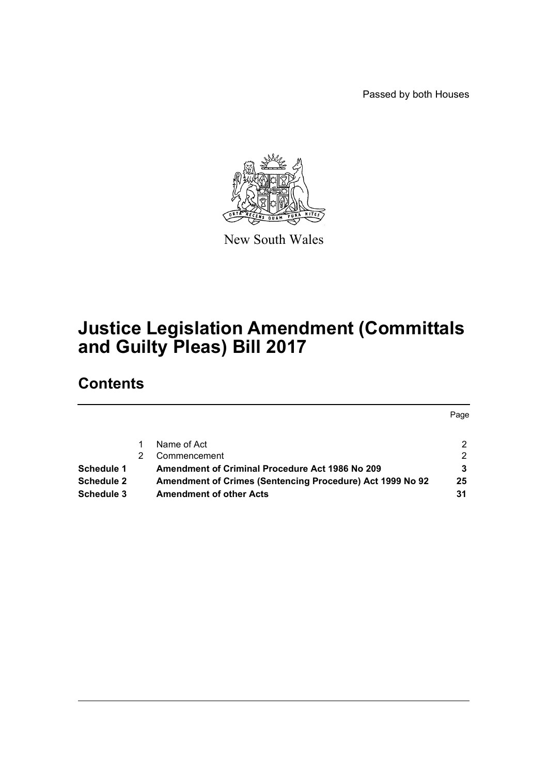Passed by both Houses



New South Wales

# **Justice Legislation Amendment (Committals and Guilty Pleas) Bill 2017**

# **Contents**

|            |                                                           | Page |
|------------|-----------------------------------------------------------|------|
|            |                                                           |      |
|            | Name of Act                                               |      |
|            | Commencement                                              | 2    |
| Schedule 1 | <b>Amendment of Criminal Procedure Act 1986 No 209</b>    |      |
| Schedule 2 | Amendment of Crimes (Sentencing Procedure) Act 1999 No 92 | 25   |
| Schedule 3 | <b>Amendment of other Acts</b>                            | 31   |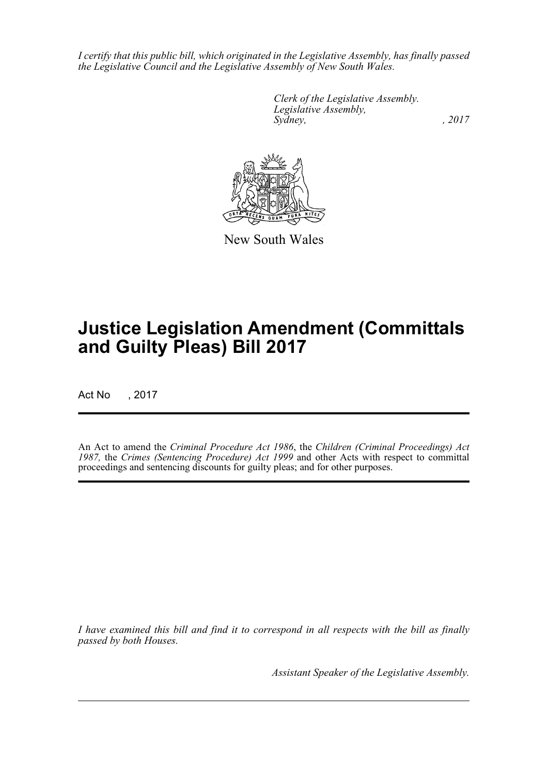*I certify that this public bill, which originated in the Legislative Assembly, has finally passed the Legislative Council and the Legislative Assembly of New South Wales.*

> *Clerk of the Legislative Assembly. Legislative Assembly, Sydney,* , 2017



New South Wales

# **Justice Legislation Amendment (Committals and Guilty Pleas) Bill 2017**

Act No , 2017

An Act to amend the *Criminal Procedure Act 1986*, the *Children (Criminal Proceedings) Act 1987,* the *Crimes (Sentencing Procedure) Act 1999* and other Acts with respect to committal proceedings and sentencing discounts for guilty pleas; and for other purposes.

*I have examined this bill and find it to correspond in all respects with the bill as finally passed by both Houses.*

*Assistant Speaker of the Legislative Assembly.*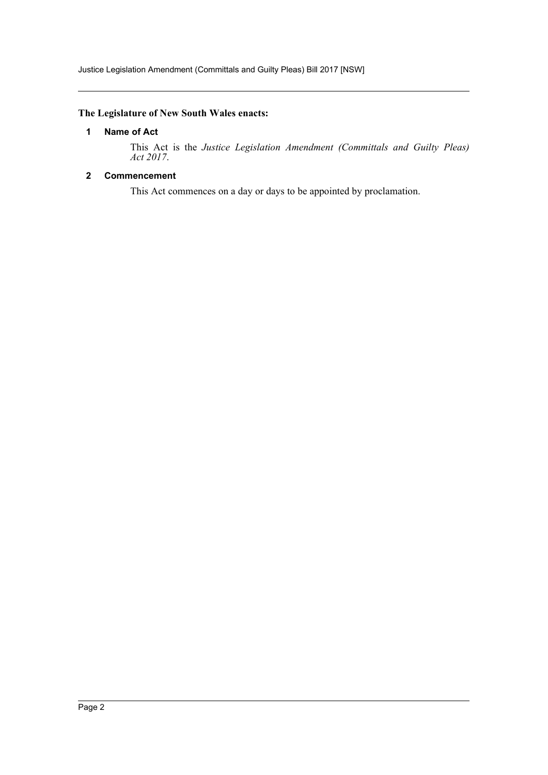Justice Legislation Amendment (Committals and Guilty Pleas) Bill 2017 [NSW]

## <span id="page-2-0"></span>**The Legislature of New South Wales enacts:**

## **1 Name of Act**

This Act is the *Justice Legislation Amendment (Committals and Guilty Pleas) Act 2017*.

## <span id="page-2-1"></span>**2 Commencement**

This Act commences on a day or days to be appointed by proclamation.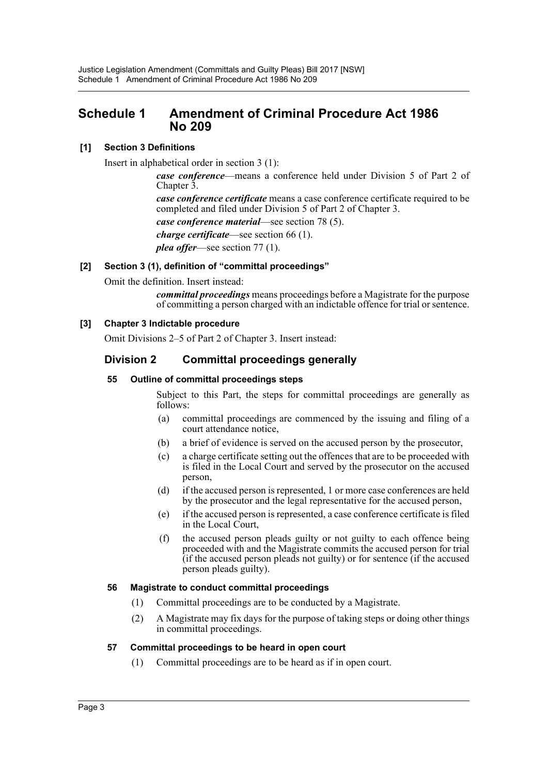# <span id="page-3-0"></span>**Schedule 1 Amendment of Criminal Procedure Act 1986 No 209**

## **[1] Section 3 Definitions**

Insert in alphabetical order in section 3 (1):

*case conference*—means a conference held under Division 5 of Part 2 of Chapter 3.

*case conference certificate* means a case conference certificate required to be completed and filed under Division 5 of Part 2 of Chapter 3.

*case conference material*—see section 78 (5).

*charge certificate*—see section 66 (1).

*plea offer*—see section 77 (1).

## **[2] Section 3 (1), definition of "committal proceedings"**

Omit the definition. Insert instead:

*committal proceedings* means proceedings before a Magistrate for the purpose of committing a person charged with an indictable offence for trial or sentence.

## **[3] Chapter 3 Indictable procedure**

Omit Divisions 2–5 of Part 2 of Chapter 3. Insert instead:

# **Division 2 Committal proceedings generally**

## **55 Outline of committal proceedings steps**

Subject to this Part, the steps for committal proceedings are generally as follows:

- (a) committal proceedings are commenced by the issuing and filing of a court attendance notice,
- (b) a brief of evidence is served on the accused person by the prosecutor,
- (c) a charge certificate setting out the offences that are to be proceeded with is filed in the Local Court and served by the prosecutor on the accused person,
- (d) if the accused person is represented, 1 or more case conferences are held by the prosecutor and the legal representative for the accused person,
- (e) if the accused person is represented, a case conference certificate is filed in the Local Court,
- (f) the accused person pleads guilty or not guilty to each offence being proceeded with and the Magistrate commits the accused person for trial (if the accused person pleads not guilty) or for sentence (if the accused person pleads guilty).

## **56 Magistrate to conduct committal proceedings**

- (1) Committal proceedings are to be conducted by a Magistrate.
- (2) A Magistrate may fix days for the purpose of taking steps or doing other things in committal proceedings.

## **57 Committal proceedings to be heard in open court**

(1) Committal proceedings are to be heard as if in open court.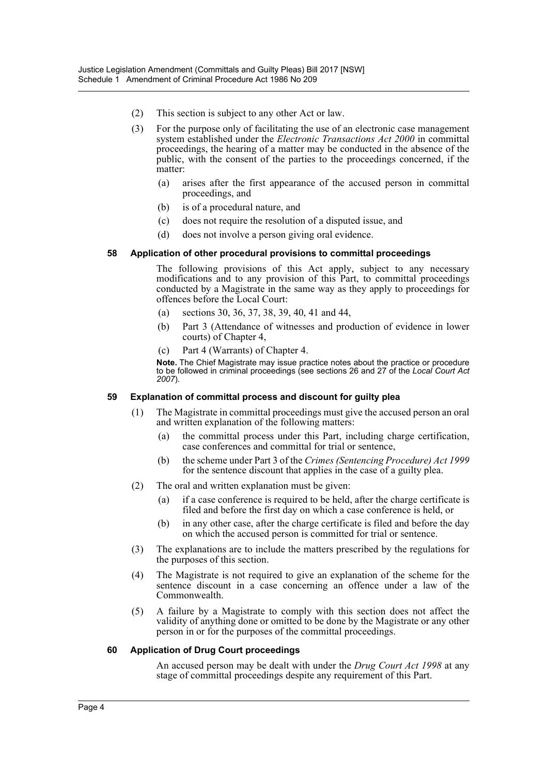- (2) This section is subject to any other Act or law.
- (3) For the purpose only of facilitating the use of an electronic case management system established under the *Electronic Transactions Act 2000* in committal proceedings, the hearing of a matter may be conducted in the absence of the public, with the consent of the parties to the proceedings concerned, if the matter:
	- (a) arises after the first appearance of the accused person in committal proceedings, and
	- (b) is of a procedural nature, and
	- (c) does not require the resolution of a disputed issue, and
	- (d) does not involve a person giving oral evidence.

#### **58 Application of other procedural provisions to committal proceedings**

The following provisions of this Act apply, subject to any necessary modifications and to any provision of this Part, to committal proceedings conducted by a Magistrate in the same way as they apply to proceedings for offences before the Local Court:

- (a) sections 30, 36, 37, 38, 39, 40, 41 and 44,
- (b) Part 3 (Attendance of witnesses and production of evidence in lower courts) of Chapter 4,
- (c) Part 4 (Warrants) of Chapter 4.

**Note.** The Chief Magistrate may issue practice notes about the practice or procedure to be followed in criminal proceedings (see sections 26 and 27 of the *Local Court Act 2007*).

#### **59 Explanation of committal process and discount for guilty plea**

- (1) The Magistrate in committal proceedings must give the accused person an oral and written explanation of the following matters:
	- (a) the committal process under this Part, including charge certification, case conferences and committal for trial or sentence,
	- (b) the scheme under Part 3 of the *Crimes (Sentencing Procedure) Act 1999* for the sentence discount that applies in the case of a guilty plea.
- (2) The oral and written explanation must be given:
	- (a) if a case conference is required to be held, after the charge certificate is filed and before the first day on which a case conference is held, or
	- (b) in any other case, after the charge certificate is filed and before the day on which the accused person is committed for trial or sentence.
- (3) The explanations are to include the matters prescribed by the regulations for the purposes of this section.
- (4) The Magistrate is not required to give an explanation of the scheme for the sentence discount in a case concerning an offence under a law of the Commonwealth.
- (5) A failure by a Magistrate to comply with this section does not affect the validity of anything done or omitted to be done by the Magistrate or any other person in or for the purposes of the committal proceedings.

## **60 Application of Drug Court proceedings**

An accused person may be dealt with under the *Drug Court Act 1998* at any stage of committal proceedings despite any requirement of this Part.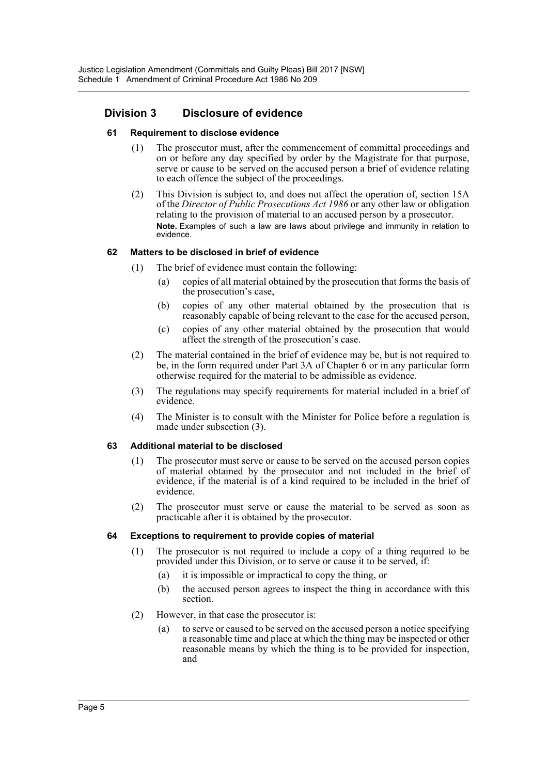# **Division 3 Disclosure of evidence**

## **61 Requirement to disclose evidence**

- (1) The prosecutor must, after the commencement of committal proceedings and on or before any day specified by order by the Magistrate for that purpose, serve or cause to be served on the accused person a brief of evidence relating to each offence the subject of the proceedings.
- (2) This Division is subject to, and does not affect the operation of, section 15A of the *Director of Public Prosecutions Act 1986* or any other law or obligation relating to the provision of material to an accused person by a prosecutor. **Note.** Examples of such a law are laws about privilege and immunity in relation to evidence.

## **62 Matters to be disclosed in brief of evidence**

- (1) The brief of evidence must contain the following:
	- (a) copies of all material obtained by the prosecution that forms the basis of the prosecution's case,
	- (b) copies of any other material obtained by the prosecution that is reasonably capable of being relevant to the case for the accused person,
	- (c) copies of any other material obtained by the prosecution that would affect the strength of the prosecution's case.
- (2) The material contained in the brief of evidence may be, but is not required to be, in the form required under Part 3A of Chapter 6 or in any particular form otherwise required for the material to be admissible as evidence.
- (3) The regulations may specify requirements for material included in a brief of evidence.
- (4) The Minister is to consult with the Minister for Police before a regulation is made under subsection (3).

## **63 Additional material to be disclosed**

- (1) The prosecutor must serve or cause to be served on the accused person copies of material obtained by the prosecutor and not included in the brief of evidence, if the material is of a kind required to be included in the brief of evidence.
- (2) The prosecutor must serve or cause the material to be served as soon as practicable after it is obtained by the prosecutor.

## **64 Exceptions to requirement to provide copies of material**

- (1) The prosecutor is not required to include a copy of a thing required to be provided under this Division, or to serve or cause it to be served, if:
	- (a) it is impossible or impractical to copy the thing, or
	- (b) the accused person agrees to inspect the thing in accordance with this section.
- (2) However, in that case the prosecutor is:
	- (a) to serve or caused to be served on the accused person a notice specifying a reasonable time and place at which the thing may be inspected or other reasonable means by which the thing is to be provided for inspection, and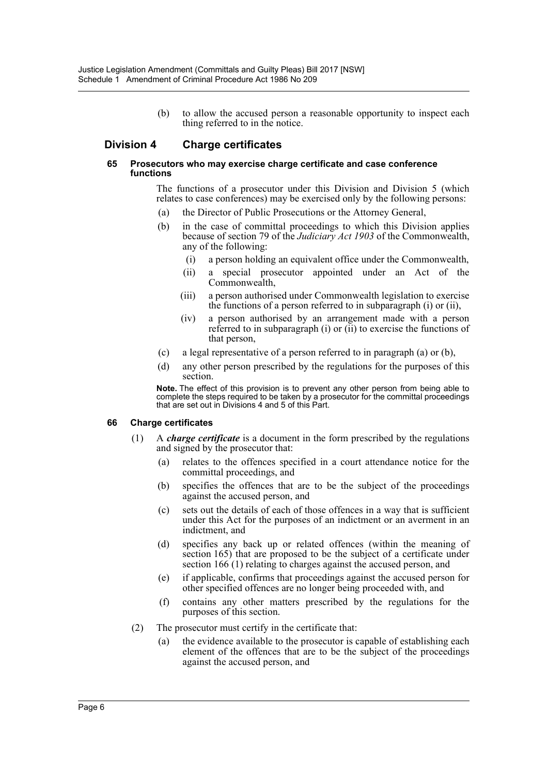(b) to allow the accused person a reasonable opportunity to inspect each thing referred to in the notice.

## **Division 4 Charge certificates**

#### **65 Prosecutors who may exercise charge certificate and case conference functions**

The functions of a prosecutor under this Division and Division 5 (which relates to case conferences) may be exercised only by the following persons:

- (a) the Director of Public Prosecutions or the Attorney General,
- (b) in the case of committal proceedings to which this Division applies because of section 79 of the *Judiciary Act 1903* of the Commonwealth, any of the following:
	- (i) a person holding an equivalent office under the Commonwealth,
	- (ii) a special prosecutor appointed under an Act of the Commonwealth,
	- (iii) a person authorised under Commonwealth legislation to exercise the functions of a person referred to in subparagraph (i) or (ii),
	- (iv) a person authorised by an arrangement made with a person referred to in subparagraph (i) or (ii) to exercise the functions of that person,
- (c) a legal representative of a person referred to in paragraph (a) or (b),
- (d) any other person prescribed by the regulations for the purposes of this section.

**Note.** The effect of this provision is to prevent any other person from being able to complete the steps required to be taken by a prosecutor for the committal proceedings that are set out in Divisions 4 and 5 of this Part.

#### **66 Charge certificates**

- (1) A *charge certificate* is a document in the form prescribed by the regulations and signed by the prosecutor that:
	- (a) relates to the offences specified in a court attendance notice for the committal proceedings, and
	- (b) specifies the offences that are to be the subject of the proceedings against the accused person, and
	- (c) sets out the details of each of those offences in a way that is sufficient under this Act for the purposes of an indictment or an averment in an indictment, and
	- (d) specifies any back up or related offences (within the meaning of section 165) that are proposed to be the subject of a certificate under section 166 (1) relating to charges against the accused person, and
	- (e) if applicable, confirms that proceedings against the accused person for other specified offences are no longer being proceeded with, and
	- (f) contains any other matters prescribed by the regulations for the purposes of this section.
- (2) The prosecutor must certify in the certificate that:
	- (a) the evidence available to the prosecutor is capable of establishing each element of the offences that are to be the subject of the proceedings against the accused person, and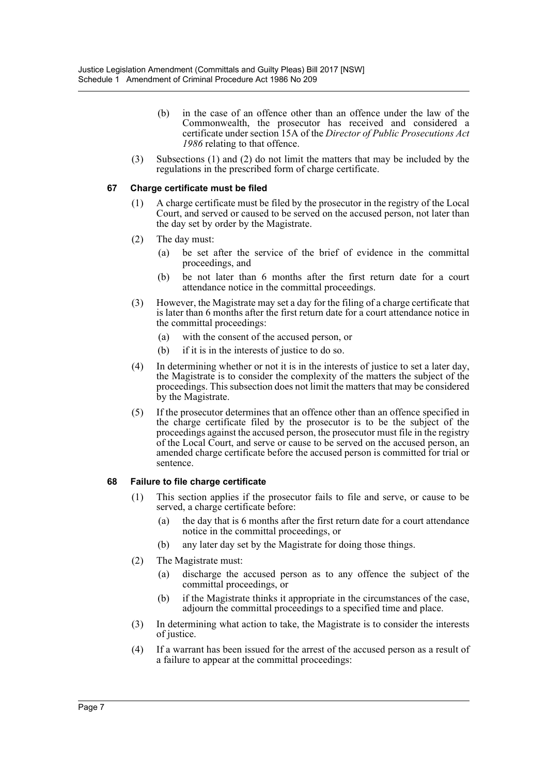- (b) in the case of an offence other than an offence under the law of the Commonwealth, the prosecutor has received and considered a certificate under section 15A of the *Director of Public Prosecutions Act 1986* relating to that offence.
- (3) Subsections (1) and (2) do not limit the matters that may be included by the regulations in the prescribed form of charge certificate.

## **67 Charge certificate must be filed**

- (1) A charge certificate must be filed by the prosecutor in the registry of the Local Court, and served or caused to be served on the accused person, not later than the day set by order by the Magistrate.
- (2) The day must:
	- (a) be set after the service of the brief of evidence in the committal proceedings, and
	- (b) be not later than 6 months after the first return date for a court attendance notice in the committal proceedings.
- (3) However, the Magistrate may set a day for the filing of a charge certificate that is later than 6 months after the first return date for a court attendance notice in the committal proceedings:
	- (a) with the consent of the accused person, or
	- (b) if it is in the interests of justice to do so.
- (4) In determining whether or not it is in the interests of justice to set a later day, the Magistrate is to consider the complexity of the matters the subject of the proceedings. This subsection does not limit the matters that may be considered by the Magistrate.
- (5) If the prosecutor determines that an offence other than an offence specified in the charge certificate filed by the prosecutor is to be the subject of the proceedings against the accused person, the prosecutor must file in the registry of the Local Court, and serve or cause to be served on the accused person, an amended charge certificate before the accused person is committed for trial or sentence.

## **68 Failure to file charge certificate**

- (1) This section applies if the prosecutor fails to file and serve, or cause to be served, a charge certificate before:
	- (a) the day that is 6 months after the first return date for a court attendance notice in the committal proceedings, or
	- (b) any later day set by the Magistrate for doing those things.
- (2) The Magistrate must:
	- (a) discharge the accused person as to any offence the subject of the committal proceedings, or
	- (b) if the Magistrate thinks it appropriate in the circumstances of the case, adjourn the committal proceedings to a specified time and place.
- (3) In determining what action to take, the Magistrate is to consider the interests of justice.
- (4) If a warrant has been issued for the arrest of the accused person as a result of a failure to appear at the committal proceedings: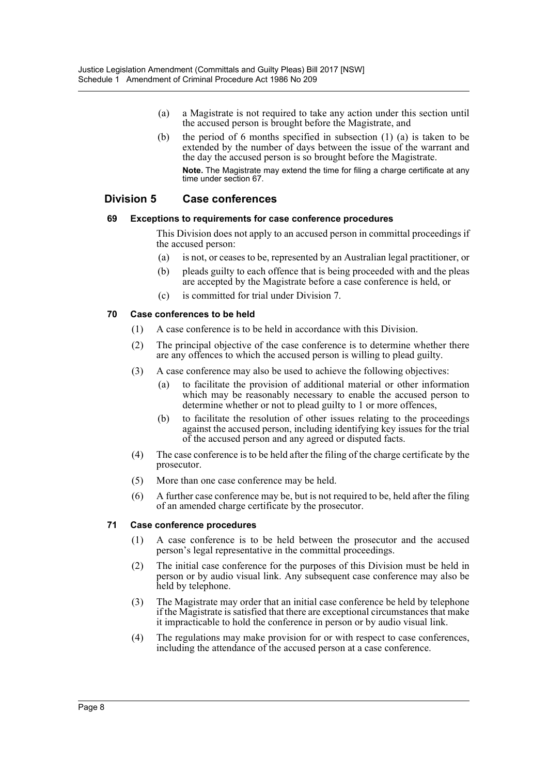- (a) a Magistrate is not required to take any action under this section until the accused person is brought before the Magistrate, and
- (b) the period of 6 months specified in subsection (1) (a) is taken to be extended by the number of days between the issue of the warrant and the day the accused person is so brought before the Magistrate.

**Note.** The Magistrate may extend the time for filing a charge certificate at any time under section 67.

## **Division 5 Case conferences**

## **69 Exceptions to requirements for case conference procedures**

This Division does not apply to an accused person in committal proceedings if the accused person:

- (a) is not, or ceases to be, represented by an Australian legal practitioner, or
- (b) pleads guilty to each offence that is being proceeded with and the pleas are accepted by the Magistrate before a case conference is held, or
- (c) is committed for trial under Division 7.

## **70 Case conferences to be held**

- (1) A case conference is to be held in accordance with this Division.
- (2) The principal objective of the case conference is to determine whether there are any offences to which the accused person is willing to plead guilty.
- (3) A case conference may also be used to achieve the following objectives:
	- (a) to facilitate the provision of additional material or other information which may be reasonably necessary to enable the accused person to determine whether or not to plead guilty to 1 or more offences,
	- (b) to facilitate the resolution of other issues relating to the proceedings against the accused person, including identifying key issues for the trial of the accused person and any agreed or disputed facts.
- (4) The case conference is to be held after the filing of the charge certificate by the prosecutor.
- (5) More than one case conference may be held.
- (6) A further case conference may be, but is not required to be, held after the filing of an amended charge certificate by the prosecutor.

## **71 Case conference procedures**

- (1) A case conference is to be held between the prosecutor and the accused person's legal representative in the committal proceedings.
- (2) The initial case conference for the purposes of this Division must be held in person or by audio visual link. Any subsequent case conference may also be held by telephone.
- (3) The Magistrate may order that an initial case conference be held by telephone if the Magistrate is satisfied that there are exceptional circumstances that make it impracticable to hold the conference in person or by audio visual link.
- (4) The regulations may make provision for or with respect to case conferences, including the attendance of the accused person at a case conference.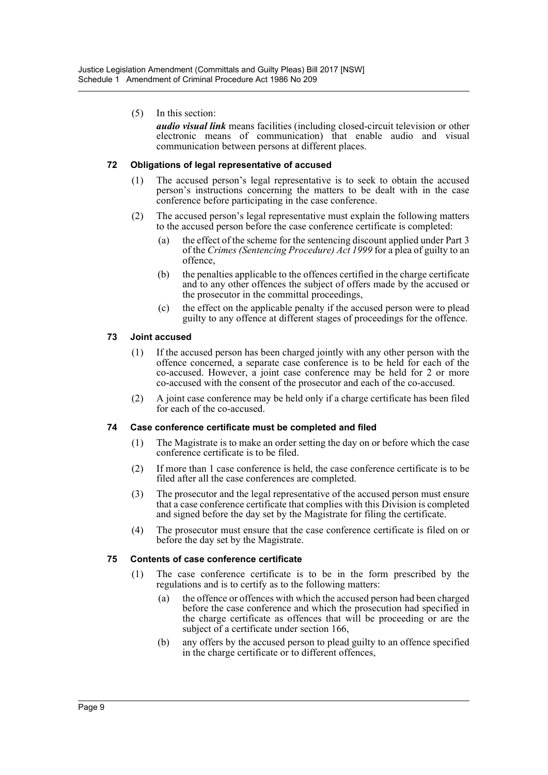- (5) In this section:
	- *audio visual link* means facilities (including closed-circuit television or other electronic means of communication) that enable audio and visual communication between persons at different places.

## **72 Obligations of legal representative of accused**

- (1) The accused person's legal representative is to seek to obtain the accused person's instructions concerning the matters to be dealt with in the case conference before participating in the case conference.
- (2) The accused person's legal representative must explain the following matters to the accused person before the case conference certificate is completed:
	- (a) the effect of the scheme for the sentencing discount applied under Part 3 of the *Crimes (Sentencing Procedure) Act 1999* for a plea of guilty to an offence,
	- (b) the penalties applicable to the offences certified in the charge certificate and to any other offences the subject of offers made by the accused or the prosecutor in the committal proceedings,
	- (c) the effect on the applicable penalty if the accused person were to plead guilty to any offence at different stages of proceedings for the offence.

## **73 Joint accused**

- (1) If the accused person has been charged jointly with any other person with the offence concerned, a separate case conference is to be held for each of the co-accused. However, a joint case conference may be held for 2 or more co-accused with the consent of the prosecutor and each of the co-accused.
- (2) A joint case conference may be held only if a charge certificate has been filed for each of the co-accused.

## **74 Case conference certificate must be completed and filed**

- (1) The Magistrate is to make an order setting the day on or before which the case conference certificate is to be filed.
- (2) If more than 1 case conference is held, the case conference certificate is to be filed after all the case conferences are completed.
- (3) The prosecutor and the legal representative of the accused person must ensure that a case conference certificate that complies with this Division is completed and signed before the day set by the Magistrate for filing the certificate.
- (4) The prosecutor must ensure that the case conference certificate is filed on or before the day set by the Magistrate.

## **75 Contents of case conference certificate**

- (1) The case conference certificate is to be in the form prescribed by the regulations and is to certify as to the following matters:
	- (a) the offence or offences with which the accused person had been charged before the case conference and which the prosecution had specified in the charge certificate as offences that will be proceeding or are the subject of a certificate under section 166,
	- (b) any offers by the accused person to plead guilty to an offence specified in the charge certificate or to different offences,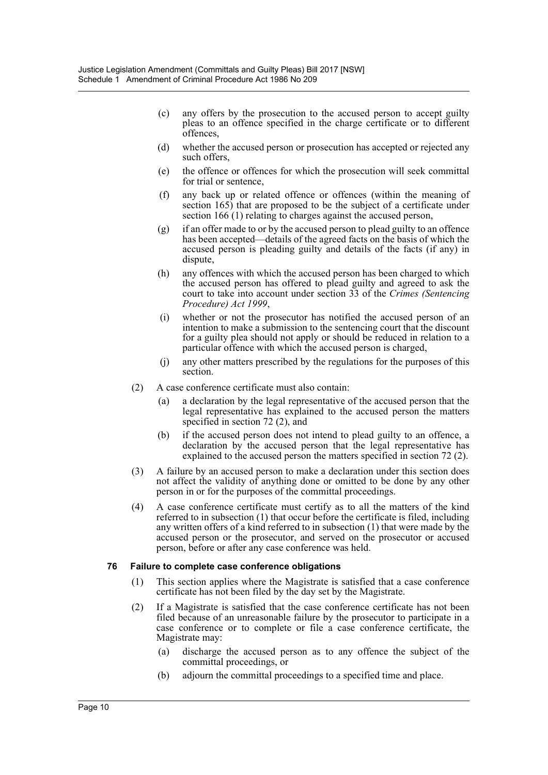- (c) any offers by the prosecution to the accused person to accept guilty pleas to an offence specified in the charge certificate or to different offences,
- (d) whether the accused person or prosecution has accepted or rejected any such offers,
- (e) the offence or offences for which the prosecution will seek committal for trial or sentence,
- (f) any back up or related offence or offences (within the meaning of section 165) that are proposed to be the subject of a certificate under section 166 (1) relating to charges against the accused person,
- $(g)$  if an offer made to or by the accused person to plead guilty to an offence has been accepted—details of the agreed facts on the basis of which the accused person is pleading guilty and details of the facts (if any) in dispute,
- (h) any offences with which the accused person has been charged to which the accused person has offered to plead guilty and agreed to ask the court to take into account under section 33 of the *Crimes (Sentencing Procedure) Act 1999*,
- (i) whether or not the prosecutor has notified the accused person of an intention to make a submission to the sentencing court that the discount for a guilty plea should not apply or should be reduced in relation to a particular offence with which the accused person is charged,
- (j) any other matters prescribed by the regulations for the purposes of this section.
- (2) A case conference certificate must also contain:
	- (a) a declaration by the legal representative of the accused person that the legal representative has explained to the accused person the matters specified in section 72 (2), and
	- (b) if the accused person does not intend to plead guilty to an offence, a declaration by the accused person that the legal representative has explained to the accused person the matters specified in section 72 (2).
- (3) A failure by an accused person to make a declaration under this section does not affect the validity of anything done or omitted to be done by any other person in or for the purposes of the committal proceedings.
- (4) A case conference certificate must certify as to all the matters of the kind referred to in subsection (1) that occur before the certificate is filed, including any written offers of a kind referred to in subsection (1) that were made by the accused person or the prosecutor, and served on the prosecutor or accused person, before or after any case conference was held.

## **76 Failure to complete case conference obligations**

- (1) This section applies where the Magistrate is satisfied that a case conference certificate has not been filed by the day set by the Magistrate.
- (2) If a Magistrate is satisfied that the case conference certificate has not been filed because of an unreasonable failure by the prosecutor to participate in a case conference or to complete or file a case conference certificate, the Magistrate may:
	- (a) discharge the accused person as to any offence the subject of the committal proceedings, or
	- (b) adjourn the committal proceedings to a specified time and place.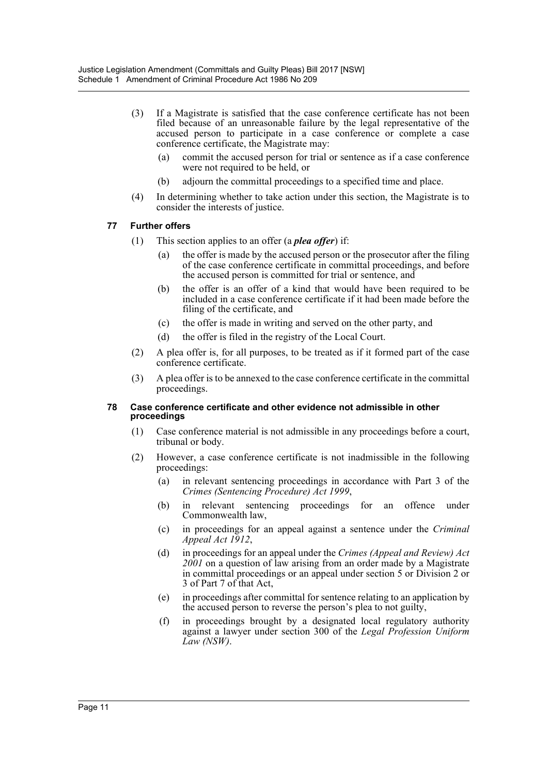- (3) If a Magistrate is satisfied that the case conference certificate has not been filed because of an unreasonable failure by the legal representative of the accused person to participate in a case conference or complete a case conference certificate, the Magistrate may:
	- (a) commit the accused person for trial or sentence as if a case conference were not required to be held, or
	- (b) adjourn the committal proceedings to a specified time and place.
- (4) In determining whether to take action under this section, the Magistrate is to consider the interests of justice.

## **77 Further offers**

- (1) This section applies to an offer (a *plea offer*) if:
	- the offer is made by the accused person or the prosecutor after the filing of the case conference certificate in committal proceedings, and before the accused person is committed for trial or sentence, and
	- (b) the offer is an offer of a kind that would have been required to be included in a case conference certificate if it had been made before the filing of the certificate, and
	- (c) the offer is made in writing and served on the other party, and
	- (d) the offer is filed in the registry of the Local Court.
- (2) A plea offer is, for all purposes, to be treated as if it formed part of the case conference certificate.
- (3) A plea offer is to be annexed to the case conference certificate in the committal proceedings.

#### **78 Case conference certificate and other evidence not admissible in other proceedings**

- (1) Case conference material is not admissible in any proceedings before a court, tribunal or body.
- (2) However, a case conference certificate is not inadmissible in the following proceedings:
	- (a) in relevant sentencing proceedings in accordance with Part 3 of the *Crimes (Sentencing Procedure) Act 1999*,
	- (b) in relevant sentencing proceedings for an offence under Commonwealth law,
	- (c) in proceedings for an appeal against a sentence under the *Criminal Appeal Act 1912*,
	- (d) in proceedings for an appeal under the *Crimes (Appeal and Review) Act 2001* on a question of law arising from an order made by a Magistrate in committal proceedings or an appeal under section 5 or Division 2 or 3 of Part 7 of that Act,
	- (e) in proceedings after committal for sentence relating to an application by the accused person to reverse the person's plea to not guilty,
	- (f) in proceedings brought by a designated local regulatory authority against a lawyer under section 300 of the *Legal Profession Uniform Law (NSW)*.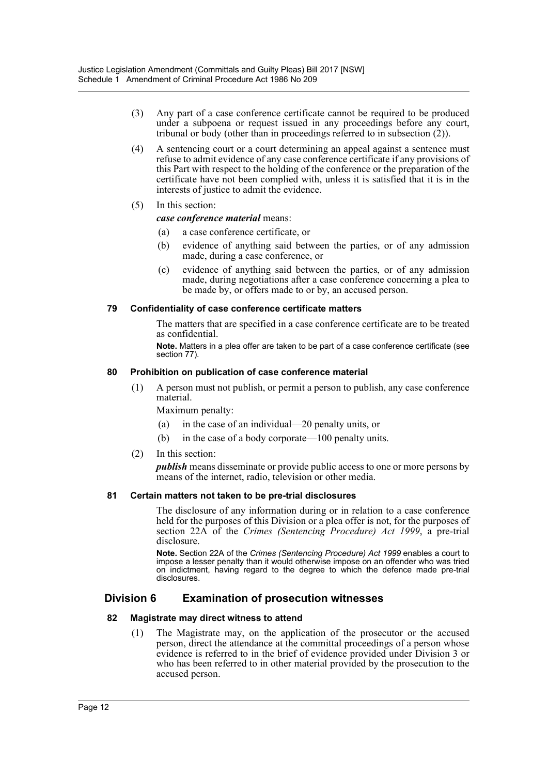- (3) Any part of a case conference certificate cannot be required to be produced under a subpoena or request issued in any proceedings before any court, tribunal or body (other than in proceedings referred to in subsection (2)).
- (4) A sentencing court or a court determining an appeal against a sentence must refuse to admit evidence of any case conference certificate if any provisions of this Part with respect to the holding of the conference or the preparation of the certificate have not been complied with, unless it is satisfied that it is in the interests of justice to admit the evidence.
- (5) In this section:

## *case conference material* means:

- (a) a case conference certificate, or
- (b) evidence of anything said between the parties, or of any admission made, during a case conference, or
- (c) evidence of anything said between the parties, or of any admission made, during negotiations after a case conference concerning a plea to be made by, or offers made to or by, an accused person.

## **79 Confidentiality of case conference certificate matters**

The matters that are specified in a case conference certificate are to be treated as confidential.

**Note.** Matters in a plea offer are taken to be part of a case conference certificate (see section 77).

## **80 Prohibition on publication of case conference material**

(1) A person must not publish, or permit a person to publish, any case conference material.

Maximum penalty:

- (a) in the case of an individual—20 penalty units, or
- (b) in the case of a body corporate—100 penalty units.
- (2) In this section:

*publish* means disseminate or provide public access to one or more persons by means of the internet, radio, television or other media.

## **81 Certain matters not taken to be pre-trial disclosures**

The disclosure of any information during or in relation to a case conference held for the purposes of this Division or a plea offer is not, for the purposes of section 22A of the *Crimes (Sentencing Procedure) Act 1999*, a pre-trial disclosure.

**Note.** Section 22A of the *Crimes (Sentencing Procedure) Act 1999* enables a court to impose a lesser penalty than it would otherwise impose on an offender who was tried on indictment, having regard to the degree to which the defence made pre-trial disclosures.

# **Division 6 Examination of prosecution witnesses**

## **82 Magistrate may direct witness to attend**

(1) The Magistrate may, on the application of the prosecutor or the accused person, direct the attendance at the committal proceedings of a person whose evidence is referred to in the brief of evidence provided under Division 3 or who has been referred to in other material provided by the prosecution to the accused person.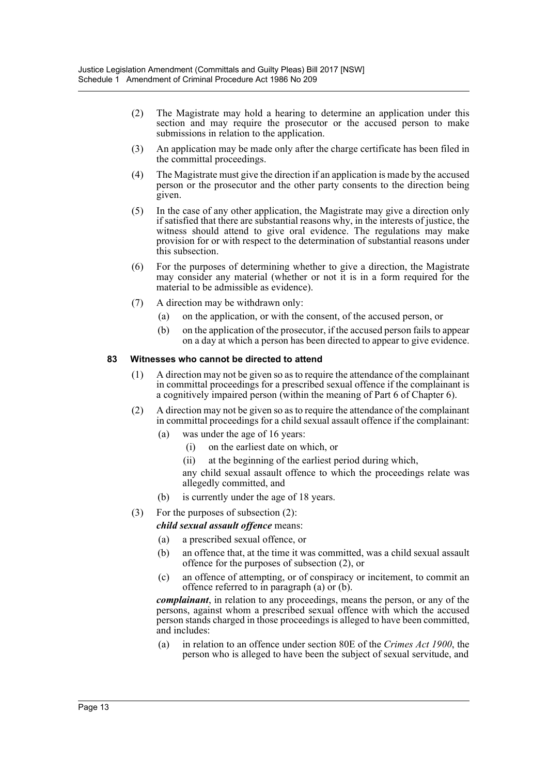- (2) The Magistrate may hold a hearing to determine an application under this section and may require the prosecutor or the accused person to make submissions in relation to the application.
- (3) An application may be made only after the charge certificate has been filed in the committal proceedings.
- (4) The Magistrate must give the direction if an application is made by the accused person or the prosecutor and the other party consents to the direction being given.
- (5) In the case of any other application, the Magistrate may give a direction only if satisfied that there are substantial reasons why, in the interests of justice, the witness should attend to give oral evidence. The regulations may make provision for or with respect to the determination of substantial reasons under this subsection.
- (6) For the purposes of determining whether to give a direction, the Magistrate may consider any material (whether or not it is in a form required for the material to be admissible as evidence).
- (7) A direction may be withdrawn only:
	- (a) on the application, or with the consent, of the accused person, or
	- (b) on the application of the prosecutor, if the accused person fails to appear on a day at which a person has been directed to appear to give evidence.

## **83 Witnesses who cannot be directed to attend**

- (1) A direction may not be given so as to require the attendance of the complainant in committal proceedings for a prescribed sexual offence if the complainant is a cognitively impaired person (within the meaning of Part 6 of Chapter 6).
- (2) A direction may not be given so as to require the attendance of the complainant in committal proceedings for a child sexual assault offence if the complainant:
	- (a) was under the age of 16 years:
		- (i) on the earliest date on which, or
		- (ii) at the beginning of the earliest period during which,

any child sexual assault offence to which the proceedings relate was allegedly committed, and

- (b) is currently under the age of 18 years.
- (3) For the purposes of subsection (2):

## *child sexual assault offence* means:

- (a) a prescribed sexual offence, or
- (b) an offence that, at the time it was committed, was a child sexual assault offence for the purposes of subsection (2), or
- (c) an offence of attempting, or of conspiracy or incitement, to commit an offence referred to in paragraph (a) or (b).

*complainant*, in relation to any proceedings, means the person, or any of the persons, against whom a prescribed sexual offence with which the accused person stands charged in those proceedings is alleged to have been committed, and includes:

(a) in relation to an offence under section 80E of the *Crimes Act 1900*, the person who is alleged to have been the subject of sexual servitude, and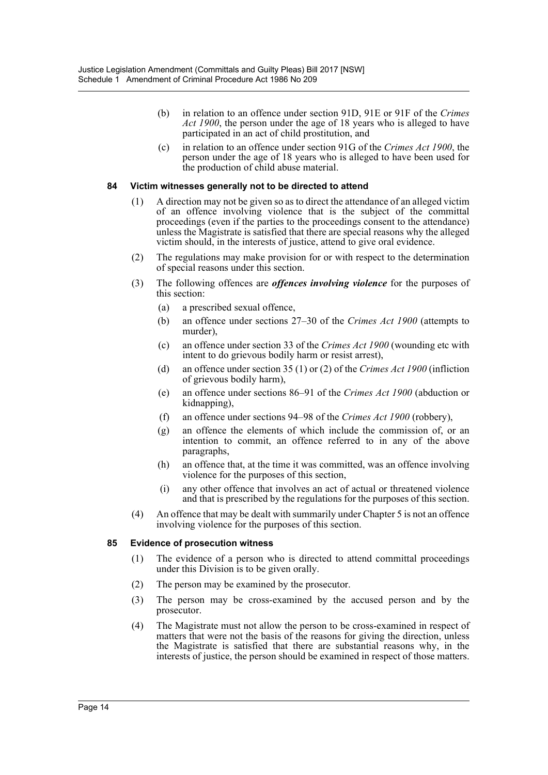- (b) in relation to an offence under section 91D, 91E or 91F of the *Crimes Act 1900*, the person under the age of 18 years who is alleged to have participated in an act of child prostitution, and
- (c) in relation to an offence under section 91G of the *Crimes Act 1900*, the person under the age of 18 years who is alleged to have been used for the production of child abuse material.

## **84 Victim witnesses generally not to be directed to attend**

- (1) A direction may not be given so as to direct the attendance of an alleged victim of an offence involving violence that is the subject of the committal proceedings (even if the parties to the proceedings consent to the attendance) unless the Magistrate is satisfied that there are special reasons why the alleged victim should, in the interests of justice, attend to give oral evidence.
- (2) The regulations may make provision for or with respect to the determination of special reasons under this section.
- (3) The following offences are *offences involving violence* for the purposes of this section:
	- (a) a prescribed sexual offence,
	- (b) an offence under sections 27–30 of the *Crimes Act 1900* (attempts to murder),
	- (c) an offence under section 33 of the *Crimes Act 1900* (wounding etc with intent to do grievous bodily harm or resist arrest),
	- (d) an offence under section 35 (1) or (2) of the *Crimes Act 1900* (infliction of grievous bodily harm),
	- (e) an offence under sections 86–91 of the *Crimes Act 1900* (abduction or kidnapping),
	- (f) an offence under sections 94–98 of the *Crimes Act 1900* (robbery),
	- (g) an offence the elements of which include the commission of, or an intention to commit, an offence referred to in any of the above paragraphs,
	- (h) an offence that, at the time it was committed, was an offence involving violence for the purposes of this section,
	- (i) any other offence that involves an act of actual or threatened violence and that is prescribed by the regulations for the purposes of this section.
- (4) An offence that may be dealt with summarily under Chapter 5 is not an offence involving violence for the purposes of this section.

## **85 Evidence of prosecution witness**

- (1) The evidence of a person who is directed to attend committal proceedings under this Division is to be given orally.
- (2) The person may be examined by the prosecutor.
- (3) The person may be cross-examined by the accused person and by the prosecutor.
- (4) The Magistrate must not allow the person to be cross-examined in respect of matters that were not the basis of the reasons for giving the direction, unless the Magistrate is satisfied that there are substantial reasons why, in the interests of justice, the person should be examined in respect of those matters.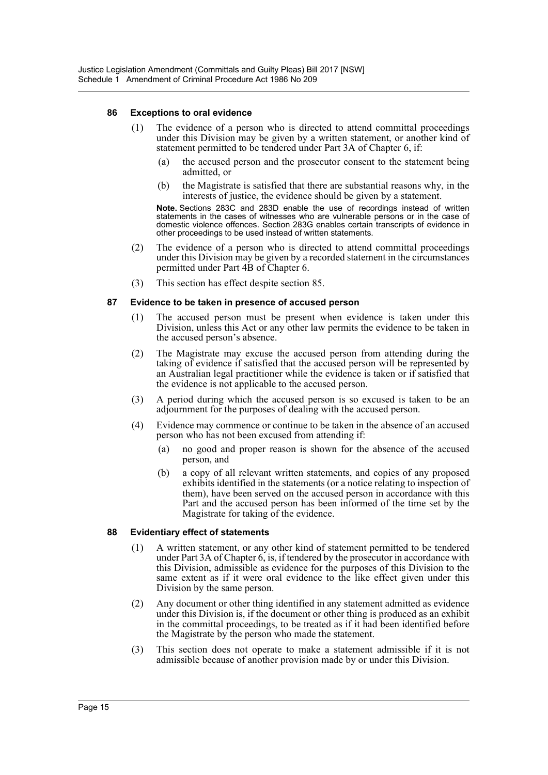## **86 Exceptions to oral evidence**

- (1) The evidence of a person who is directed to attend committal proceedings under this Division may be given by a written statement, or another kind of statement permitted to be tendered under Part 3A of Chapter 6, if:
	- (a) the accused person and the prosecutor consent to the statement being admitted, or
	- (b) the Magistrate is satisfied that there are substantial reasons why, in the interests of justice, the evidence should be given by a statement.

**Note.** Sections 283C and 283D enable the use of recordings instead of written statements in the cases of witnesses who are vulnerable persons or in the case of domestic violence offences. Section 283G enables certain transcripts of evidence in other proceedings to be used instead of written statements.

- (2) The evidence of a person who is directed to attend committal proceedings under this Division may be given by a recorded statement in the circumstances permitted under Part 4B of Chapter 6.
- (3) This section has effect despite section 85.

## **87 Evidence to be taken in presence of accused person**

- (1) The accused person must be present when evidence is taken under this Division, unless this Act or any other law permits the evidence to be taken in the accused person's absence.
- (2) The Magistrate may excuse the accused person from attending during the taking of evidence if satisfied that the accused person will be represented by an Australian legal practitioner while the evidence is taken or if satisfied that the evidence is not applicable to the accused person.
- (3) A period during which the accused person is so excused is taken to be an adjournment for the purposes of dealing with the accused person.
- (4) Evidence may commence or continue to be taken in the absence of an accused person who has not been excused from attending if:
	- (a) no good and proper reason is shown for the absence of the accused person, and
	- (b) a copy of all relevant written statements, and copies of any proposed exhibits identified in the statements (or a notice relating to inspection of them), have been served on the accused person in accordance with this Part and the accused person has been informed of the time set by the Magistrate for taking of the evidence.

## **88 Evidentiary effect of statements**

- (1) A written statement, or any other kind of statement permitted to be tendered under Part 3A of Chapter 6, is, if tendered by the prosecutor in accordance with this Division, admissible as evidence for the purposes of this Division to the same extent as if it were oral evidence to the like effect given under this Division by the same person.
- (2) Any document or other thing identified in any statement admitted as evidence under this Division is, if the document or other thing is produced as an exhibit in the committal proceedings, to be treated as if it had been identified before the Magistrate by the person who made the statement.
- (3) This section does not operate to make a statement admissible if it is not admissible because of another provision made by or under this Division.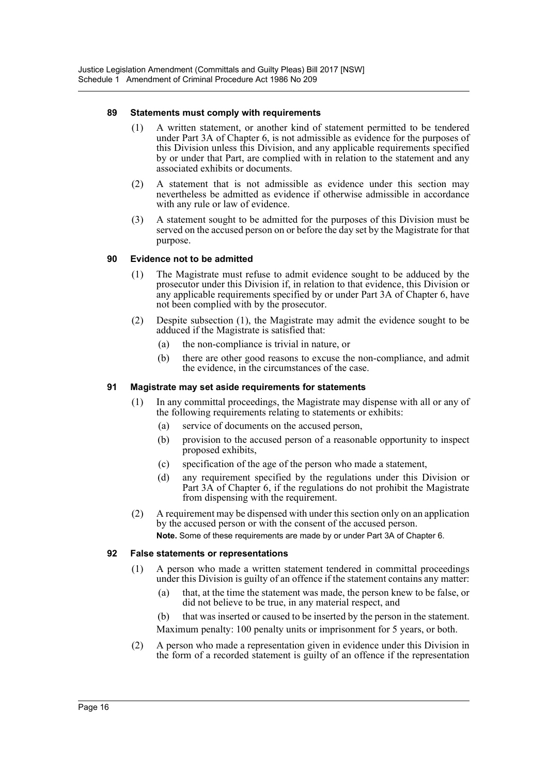#### **89 Statements must comply with requirements**

- (1) A written statement, or another kind of statement permitted to be tendered under Part 3A of Chapter 6, is not admissible as evidence for the purposes of this Division unless this Division, and any applicable requirements specified by or under that Part, are complied with in relation to the statement and any associated exhibits or documents.
- (2) A statement that is not admissible as evidence under this section may nevertheless be admitted as evidence if otherwise admissible in accordance with any rule or law of evidence.
- (3) A statement sought to be admitted for the purposes of this Division must be served on the accused person on or before the day set by the Magistrate for that purpose.

#### **90 Evidence not to be admitted**

- (1) The Magistrate must refuse to admit evidence sought to be adduced by the prosecutor under this Division if, in relation to that evidence, this Division or any applicable requirements specified by or under Part 3A of Chapter 6, have not been complied with by the prosecutor.
- (2) Despite subsection (1), the Magistrate may admit the evidence sought to be adduced if the Magistrate is satisfied that:
	- (a) the non-compliance is trivial in nature, or
	- (b) there are other good reasons to excuse the non-compliance, and admit the evidence, in the circumstances of the case.

#### **91 Magistrate may set aside requirements for statements**

- (1) In any committal proceedings, the Magistrate may dispense with all or any of the following requirements relating to statements or exhibits:
	- (a) service of documents on the accused person,
	- (b) provision to the accused person of a reasonable opportunity to inspect proposed exhibits,
	- (c) specification of the age of the person who made a statement,
	- (d) any requirement specified by the regulations under this Division or Part 3A of Chapter 6, if the regulations do not prohibit the Magistrate from dispensing with the requirement.
- (2) A requirement may be dispensed with under this section only on an application by the accused person or with the consent of the accused person. **Note.** Some of these requirements are made by or under Part 3A of Chapter 6.

## **92 False statements or representations**

- (1) A person who made a written statement tendered in committal proceedings under this Division is guilty of an offence if the statement contains any matter:
	- (a) that, at the time the statement was made, the person knew to be false, or did not believe to be true, in any material respect, and
	- (b) that was inserted or caused to be inserted by the person in the statement.

Maximum penalty: 100 penalty units or imprisonment for 5 years, or both.

(2) A person who made a representation given in evidence under this Division in the form of a recorded statement is guilty of an offence if the representation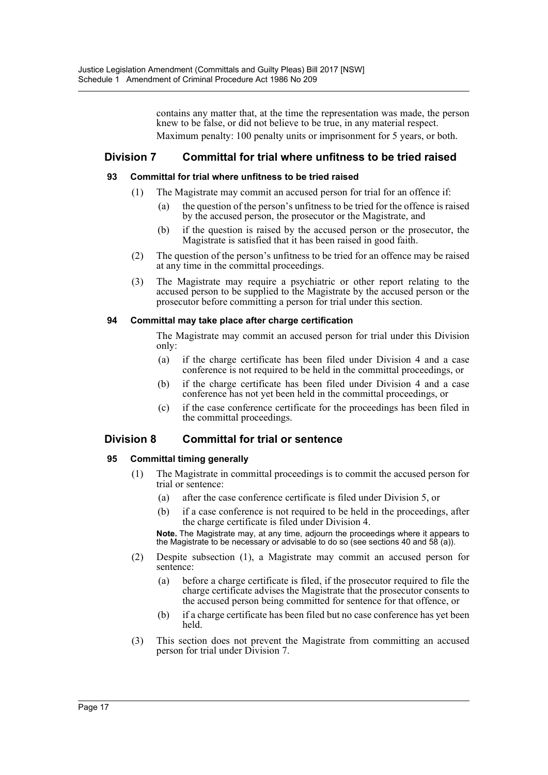contains any matter that, at the time the representation was made, the person knew to be false, or did not believe to be true, in any material respect. Maximum penalty: 100 penalty units or imprisonment for 5 years, or both.

## **Division 7 Committal for trial where unfitness to be tried raised**

## **93 Committal for trial where unfitness to be tried raised**

- (1) The Magistrate may commit an accused person for trial for an offence if:
	- (a) the question of the person's unfitness to be tried for the offence is raised by the accused person, the prosecutor or the Magistrate, and
	- (b) if the question is raised by the accused person or the prosecutor, the Magistrate is satisfied that it has been raised in good faith.
- (2) The question of the person's unfitness to be tried for an offence may be raised at any time in the committal proceedings.
- (3) The Magistrate may require a psychiatric or other report relating to the accused person to be supplied to the Magistrate by the accused person or the prosecutor before committing a person for trial under this section.

## **94 Committal may take place after charge certification**

The Magistrate may commit an accused person for trial under this Division only:

- (a) if the charge certificate has been filed under Division 4 and a case conference is not required to be held in the committal proceedings, or
- (b) if the charge certificate has been filed under Division 4 and a case conference has not yet been held in the committal proceedings, or
- (c) if the case conference certificate for the proceedings has been filed in the committal proceedings.

# **Division 8 Committal for trial or sentence**

## **95 Committal timing generally**

- (1) The Magistrate in committal proceedings is to commit the accused person for trial or sentence:
	- (a) after the case conference certificate is filed under Division 5, or
	- (b) if a case conference is not required to be held in the proceedings, after the charge certificate is filed under Division 4.

**Note.** The Magistrate may, at any time, adjourn the proceedings where it appears to the Magistrate to be necessary or advisable to do so (see sections 40 and 58 (a)).

- (2) Despite subsection (1), a Magistrate may commit an accused person for sentence:
	- (a) before a charge certificate is filed, if the prosecutor required to file the charge certificate advises the Magistrate that the prosecutor consents to the accused person being committed for sentence for that offence, or
	- (b) if a charge certificate has been filed but no case conference has yet been held.
- (3) This section does not prevent the Magistrate from committing an accused person for trial under Division 7.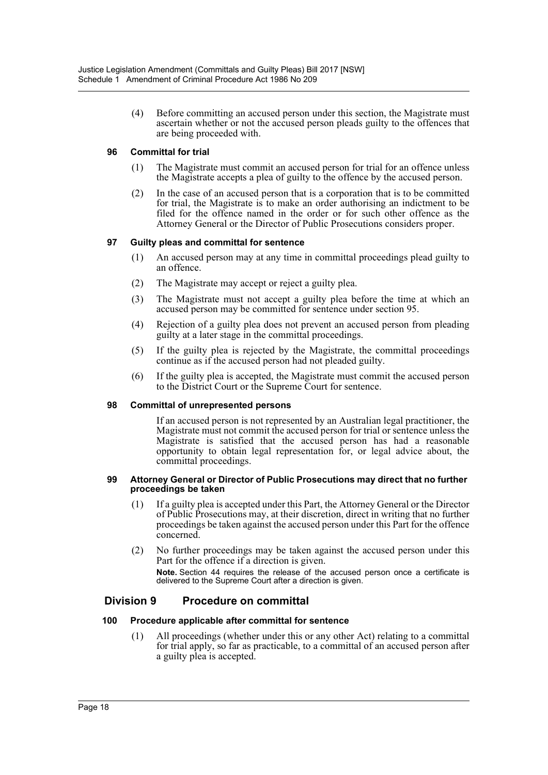(4) Before committing an accused person under this section, the Magistrate must ascertain whether or not the accused person pleads guilty to the offences that are being proceeded with.

## **96 Committal for trial**

- (1) The Magistrate must commit an accused person for trial for an offence unless the Magistrate accepts a plea of guilty to the offence by the accused person.
- (2) In the case of an accused person that is a corporation that is to be committed for trial, the Magistrate is to make an order authorising an indictment to be filed for the offence named in the order or for such other offence as the Attorney General or the Director of Public Prosecutions considers proper.

## **97 Guilty pleas and committal for sentence**

- (1) An accused person may at any time in committal proceedings plead guilty to an offence.
- (2) The Magistrate may accept or reject a guilty plea.
- (3) The Magistrate must not accept a guilty plea before the time at which an accused person may be committed for sentence under section 95.
- (4) Rejection of a guilty plea does not prevent an accused person from pleading guilty at a later stage in the committal proceedings.
- (5) If the guilty plea is rejected by the Magistrate, the committal proceedings continue as if the accused person had not pleaded guilty.
- (6) If the guilty plea is accepted, the Magistrate must commit the accused person to the District Court or the Supreme Court for sentence.

## **98 Committal of unrepresented persons**

If an accused person is not represented by an Australian legal practitioner, the Magistrate must not commit the accused person for trial or sentence unless the Magistrate is satisfied that the accused person has had a reasonable opportunity to obtain legal representation for, or legal advice about, the committal proceedings.

#### **99 Attorney General or Director of Public Prosecutions may direct that no further proceedings be taken**

- (1) If a guilty plea is accepted under this Part, the Attorney General or the Director of Public Prosecutions may, at their discretion, direct in writing that no further proceedings be taken against the accused person under this Part for the offence concerned.
- (2) No further proceedings may be taken against the accused person under this Part for the offence if a direction is given.

**Note.** Section 44 requires the release of the accused person once a certificate is delivered to the Supreme Court after a direction is given.

# **Division 9 Procedure on committal**

## **100 Procedure applicable after committal for sentence**

(1) All proceedings (whether under this or any other Act) relating to a committal for trial apply, so far as practicable, to a committal of an accused person after a guilty plea is accepted.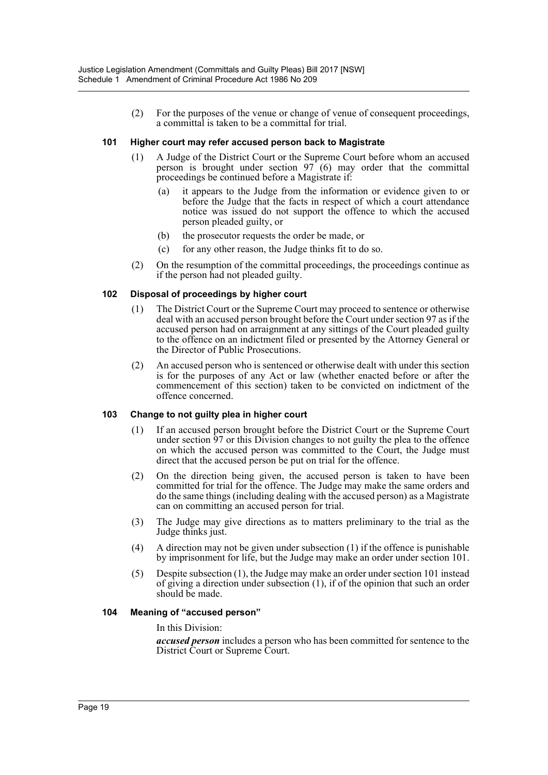(2) For the purposes of the venue or change of venue of consequent proceedings, a committal is taken to be a committal for trial.

## **101 Higher court may refer accused person back to Magistrate**

- (1) A Judge of the District Court or the Supreme Court before whom an accused person is brought under section 97 (6) may order that the committal proceedings be continued before a Magistrate if:
	- (a) it appears to the Judge from the information or evidence given to or before the Judge that the facts in respect of which a court attendance notice was issued do not support the offence to which the accused person pleaded guilty, or
	- (b) the prosecutor requests the order be made, or
	- (c) for any other reason, the Judge thinks fit to do so.
- (2) On the resumption of the committal proceedings, the proceedings continue as if the person had not pleaded guilty.

## **102 Disposal of proceedings by higher court**

- (1) The District Court or the Supreme Court may proceed to sentence or otherwise deal with an accused person brought before the Court under section 97 as if the accused person had on arraignment at any sittings of the Court pleaded guilty to the offence on an indictment filed or presented by the Attorney General or the Director of Public Prosecutions.
- (2) An accused person who is sentenced or otherwise dealt with under this section is for the purposes of any Act or law (whether enacted before or after the commencement of this section) taken to be convicted on indictment of the offence concerned.

## **103 Change to not guilty plea in higher court**

- (1) If an accused person brought before the District Court or the Supreme Court under section 97 or this Division changes to not guilty the plea to the offence on which the accused person was committed to the Court, the Judge must direct that the accused person be put on trial for the offence.
- (2) On the direction being given, the accused person is taken to have been committed for trial for the offence. The Judge may make the same orders and do the same things (including dealing with the accused person) as a Magistrate can on committing an accused person for trial.
- (3) The Judge may give directions as to matters preliminary to the trial as the Judge thinks just.
- (4) A direction may not be given under subsection (1) if the offence is punishable by imprisonment for life, but the Judge may make an order under section 101.
- (5) Despite subsection (1), the Judge may make an order under section 101 instead of giving a direction under subsection (1), if of the opinion that such an order should be made.

## **104 Meaning of "accused person"**

## In this Division:

*accused person* includes a person who has been committed for sentence to the District Court or Supreme Court.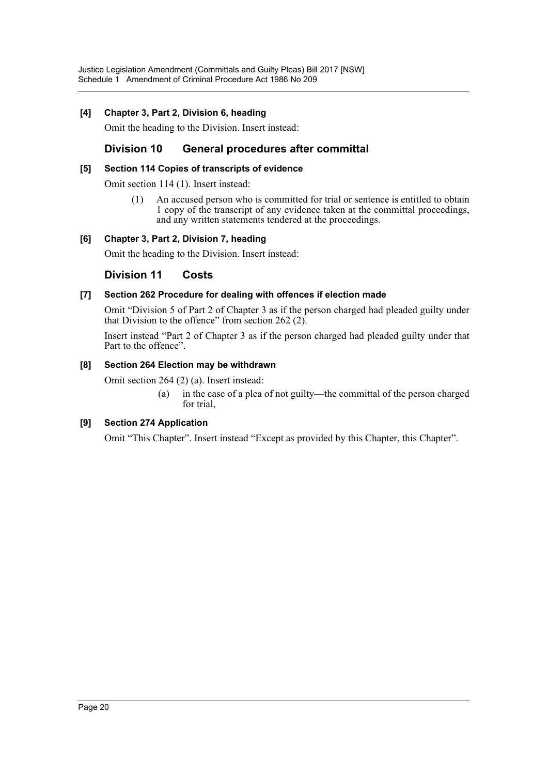## **[4] Chapter 3, Part 2, Division 6, heading**

Omit the heading to the Division. Insert instead:

# **Division 10 General procedures after committal**

## **[5] Section 114 Copies of transcripts of evidence**

Omit section 114 (1). Insert instead:

(1) An accused person who is committed for trial or sentence is entitled to obtain 1 copy of the transcript of any evidence taken at the committal proceedings, and any written statements tendered at the proceedings.

## **[6] Chapter 3, Part 2, Division 7, heading**

Omit the heading to the Division. Insert instead:

## **Division 11 Costs**

## **[7] Section 262 Procedure for dealing with offences if election made**

Omit "Division 5 of Part 2 of Chapter 3 as if the person charged had pleaded guilty under that Division to the offence" from section  $262$  (2).

Insert instead "Part 2 of Chapter 3 as if the person charged had pleaded guilty under that Part to the offence".

## **[8] Section 264 Election may be withdrawn**

Omit section 264 (2) (a). Insert instead:

(a) in the case of a plea of not guilty—the committal of the person charged for trial,

## **[9] Section 274 Application**

Omit "This Chapter". Insert instead "Except as provided by this Chapter, this Chapter".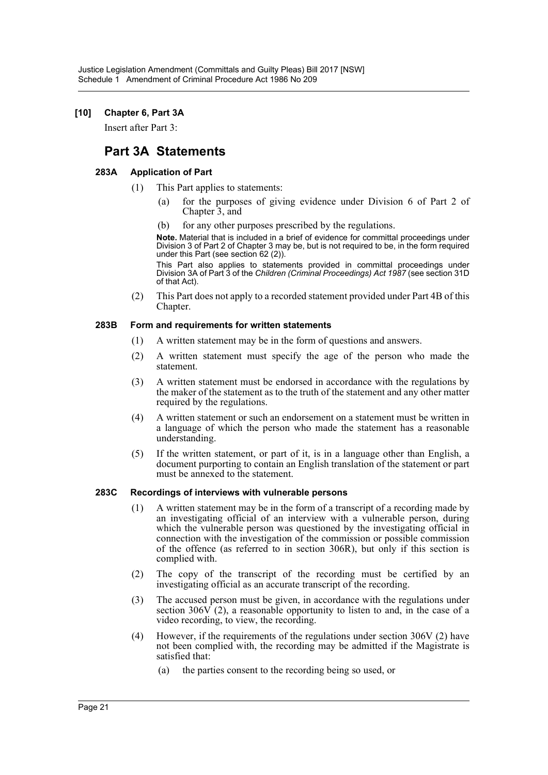## **[10] Chapter 6, Part 3A**

Insert after Part 3:

# **Part 3A Statements**

## **283A Application of Part**

- (1) This Part applies to statements:
	- (a) for the purposes of giving evidence under Division 6 of Part 2 of Chapter 3, and
	- (b) for any other purposes prescribed by the regulations.

**Note.** Material that is included in a brief of evidence for committal proceedings under Division 3 of Part 2 of Chapter 3 may be, but is not required to be, in the form required under this Part (see section 62 (2)).

This Part also applies to statements provided in committal proceedings under Division 3A of Part 3 of the *Children (Criminal Proceedings) Act 1987* (see section 31D of that Act).

(2) This Part does not apply to a recorded statement provided under Part 4B of this Chapter.

## **283B Form and requirements for written statements**

- (1) A written statement may be in the form of questions and answers.
- (2) A written statement must specify the age of the person who made the statement.
- (3) A written statement must be endorsed in accordance with the regulations by the maker of the statement as to the truth of the statement and any other matter required by the regulations.
- (4) A written statement or such an endorsement on a statement must be written in a language of which the person who made the statement has a reasonable understanding.
- (5) If the written statement, or part of it, is in a language other than English, a document purporting to contain an English translation of the statement or part must be annexed to the statement.

## **283C Recordings of interviews with vulnerable persons**

- (1) A written statement may be in the form of a transcript of a recording made by an investigating official of an interview with a vulnerable person, during which the vulnerable person was questioned by the investigating official in connection with the investigation of the commission or possible commission of the offence (as referred to in section 306R), but only if this section is complied with.
- (2) The copy of the transcript of the recording must be certified by an investigating official as an accurate transcript of the recording.
- (3) The accused person must be given, in accordance with the regulations under section 306 $\sqrt{(2)}$ , a reasonable opportunity to listen to and, in the case of a video recording, to view, the recording.
- (4) However, if the requirements of the regulations under section 306V (2) have not been complied with, the recording may be admitted if the Magistrate is satisfied that:
	- (a) the parties consent to the recording being so used, or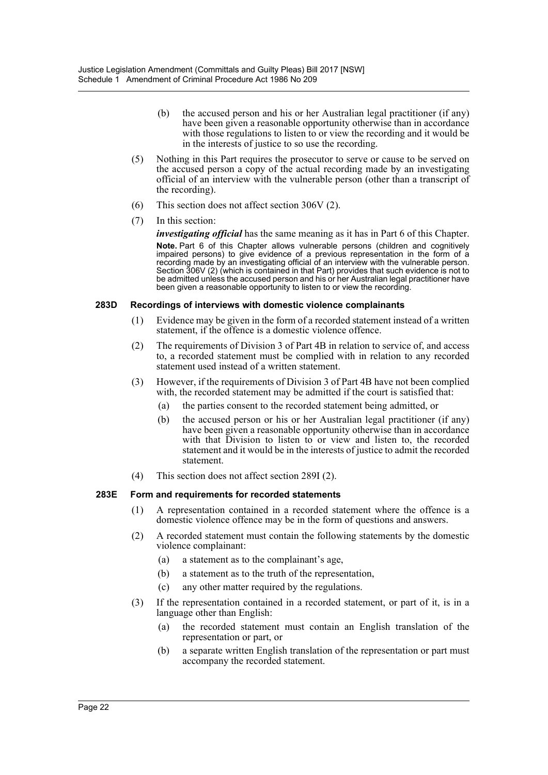- (b) the accused person and his or her Australian legal practitioner (if any) have been given a reasonable opportunity otherwise than in accordance with those regulations to listen to or view the recording and it would be in the interests of justice to so use the recording.
- (5) Nothing in this Part requires the prosecutor to serve or cause to be served on the accused person a copy of the actual recording made by an investigating official of an interview with the vulnerable person (other than a transcript of the recording).
- (6) This section does not affect section 306V (2).
- (7) In this section:

*investigating official* has the same meaning as it has in Part 6 of this Chapter. **Note.** Part 6 of this Chapter allows vulnerable persons (children and cognitively impaired persons) to give evidence of a previous representation in the form of a recording made by an investigating official of an interview with the vulnerable person. Section 306V (2) (which is contained in that Part) provides that such evidence is not to be admitted unless the accused person and his or her Australian legal practitioner have been given a reasonable opportunity to listen to or view the recording.

#### **283D Recordings of interviews with domestic violence complainants**

- (1) Evidence may be given in the form of a recorded statement instead of a written statement, if the offence is a domestic violence offence.
- (2) The requirements of Division 3 of Part 4B in relation to service of, and access to, a recorded statement must be complied with in relation to any recorded statement used instead of a written statement.
- (3) However, if the requirements of Division 3 of Part 4B have not been complied with, the recorded statement may be admitted if the court is satisfied that:
	- (a) the parties consent to the recorded statement being admitted, or
	- (b) the accused person or his or her Australian legal practitioner (if any) have been given a reasonable opportunity otherwise than in accordance with that Division to listen to or view and listen to, the recorded statement and it would be in the interests of justice to admit the recorded statement.
- (4) This section does not affect section 289I (2).

## **283E Form and requirements for recorded statements**

- (1) A representation contained in a recorded statement where the offence is a domestic violence offence may be in the form of questions and answers.
- (2) A recorded statement must contain the following statements by the domestic violence complainant:
	- (a) a statement as to the complainant's age,
	- (b) a statement as to the truth of the representation,
	- (c) any other matter required by the regulations.
- (3) If the representation contained in a recorded statement, or part of it, is in a language other than English:
	- (a) the recorded statement must contain an English translation of the representation or part, or
	- (b) a separate written English translation of the representation or part must accompany the recorded statement.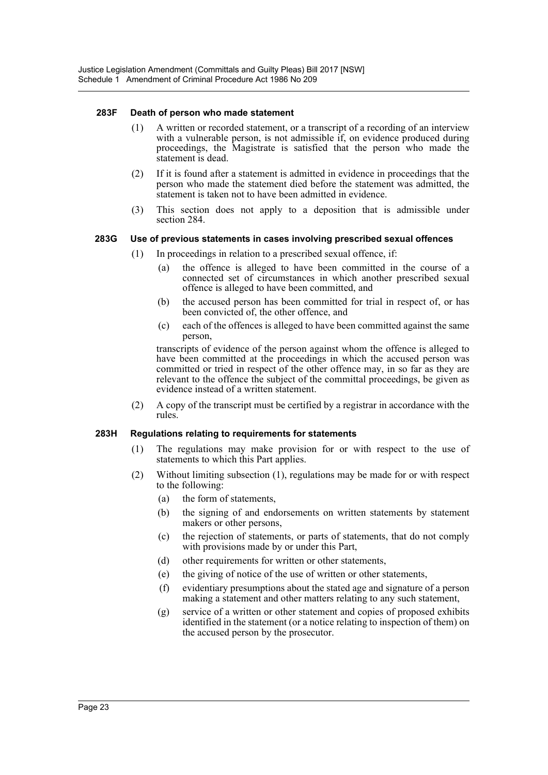#### **283F Death of person who made statement**

- (1) A written or recorded statement, or a transcript of a recording of an interview with a vulnerable person, is not admissible if, on evidence produced during proceedings, the Magistrate is satisfied that the person who made the statement is dead.
- (2) If it is found after a statement is admitted in evidence in proceedings that the person who made the statement died before the statement was admitted, the statement is taken not to have been admitted in evidence.
- (3) This section does not apply to a deposition that is admissible under section 284.

#### **283G Use of previous statements in cases involving prescribed sexual offences**

- (1) In proceedings in relation to a prescribed sexual offence, if:
	- (a) the offence is alleged to have been committed in the course of a connected set of circumstances in which another prescribed sexual offence is alleged to have been committed, and
	- (b) the accused person has been committed for trial in respect of, or has been convicted of, the other offence, and
	- (c) each of the offences is alleged to have been committed against the same person,

transcripts of evidence of the person against whom the offence is alleged to have been committed at the proceedings in which the accused person was committed or tried in respect of the other offence may, in so far as they are relevant to the offence the subject of the committal proceedings, be given as evidence instead of a written statement.

(2) A copy of the transcript must be certified by a registrar in accordance with the rules.

#### **283H Regulations relating to requirements for statements**

- (1) The regulations may make provision for or with respect to the use of statements to which this Part applies.
- (2) Without limiting subsection (1), regulations may be made for or with respect to the following:
	- (a) the form of statements,
	- (b) the signing of and endorsements on written statements by statement makers or other persons,
	- (c) the rejection of statements, or parts of statements, that do not comply with provisions made by or under this Part,
	- (d) other requirements for written or other statements,
	- (e) the giving of notice of the use of written or other statements,
	- (f) evidentiary presumptions about the stated age and signature of a person making a statement and other matters relating to any such statement,
	- (g) service of a written or other statement and copies of proposed exhibits identified in the statement (or a notice relating to inspection of them) on the accused person by the prosecutor.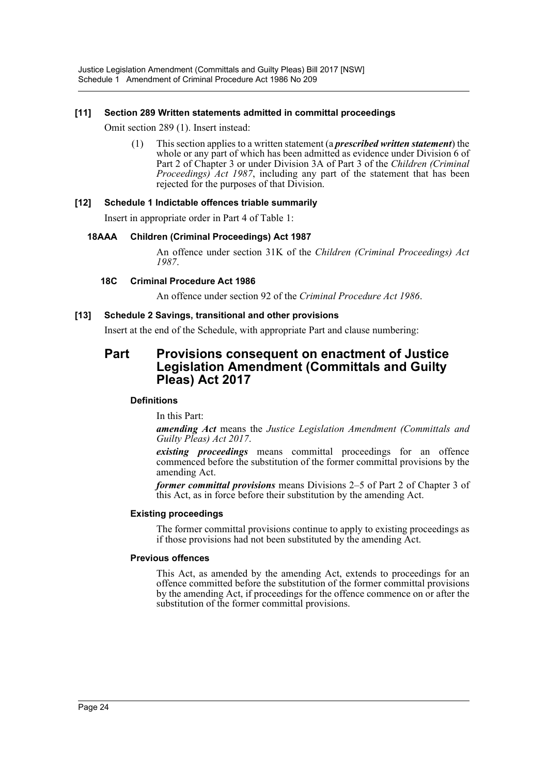## **[11] Section 289 Written statements admitted in committal proceedings**

Omit section 289 (1). Insert instead:

(1) This section applies to a written statement (a *prescribed written statement*) the whole or any part of which has been admitted as evidence under Division 6 of Part 2 of Chapter 3 or under Division 3A of Part 3 of the *Children (Criminal Proceedings) Act 1987*, including any part of the statement that has been rejected for the purposes of that Division.

## **[12] Schedule 1 Indictable offences triable summarily**

Insert in appropriate order in Part 4 of Table 1:

## **18AAA Children (Criminal Proceedings) Act 1987**

An offence under section 31K of the *Children (Criminal Proceedings) Act 1987*.

## **18C Criminal Procedure Act 1986**

An offence under section 92 of the *Criminal Procedure Act 1986*.

## **[13] Schedule 2 Savings, transitional and other provisions**

Insert at the end of the Schedule, with appropriate Part and clause numbering:

# **Part Provisions consequent on enactment of Justice Legislation Amendment (Committals and Guilty Pleas) Act 2017**

## **Definitions**

In this Part:

*amending Act* means the *Justice Legislation Amendment (Committals and Guilty Pleas) Act 2017*.

*existing proceedings* means committal proceedings for an offence commenced before the substitution of the former committal provisions by the amending Act.

*former committal provisions* means Divisions 2–5 of Part 2 of Chapter 3 of this Act, as in force before their substitution by the amending Act.

## **Existing proceedings**

The former committal provisions continue to apply to existing proceedings as if those provisions had not been substituted by the amending Act.

## **Previous offences**

This Act, as amended by the amending Act, extends to proceedings for an offence committed before the substitution of the former committal provisions by the amending Act, if proceedings for the offence commence on or after the substitution of the former committal provisions.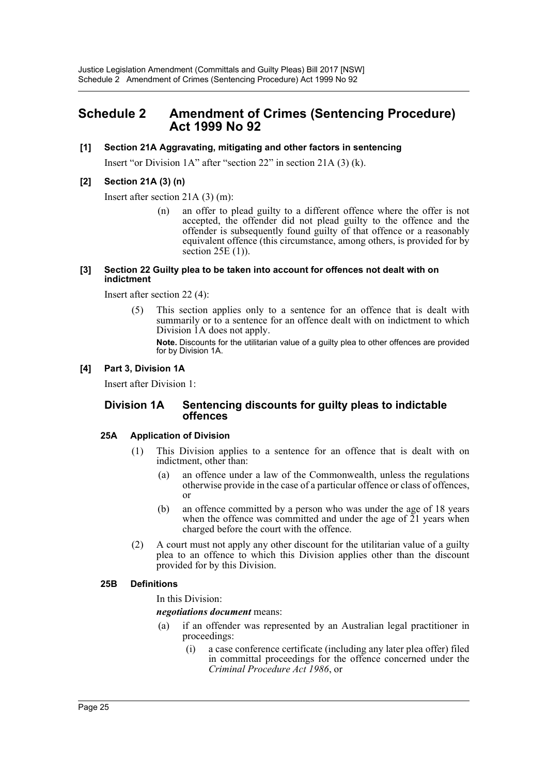# <span id="page-25-0"></span>**Schedule 2 Amendment of Crimes (Sentencing Procedure) Act 1999 No 92**

## **[1] Section 21A Aggravating, mitigating and other factors in sentencing**

Insert "or Division 1A" after "section 22" in section 21A (3) (k).

## **[2] Section 21A (3) (n)**

Insert after section 21A (3) (m):

(n) an offer to plead guilty to a different offence where the offer is not accepted, the offender did not plead guilty to the offence and the offender is subsequently found guilty of that offence or a reasonably equivalent offence (this circumstance, among others, is provided for by section 25E (1)).

#### **[3] Section 22 Guilty plea to be taken into account for offences not dealt with on indictment**

Insert after section 22 (4):

(5) This section applies only to a sentence for an offence that is dealt with summarily or to a sentence for an offence dealt with on indictment to which Division 1A does not apply.

**Note.** Discounts for the utilitarian value of a guilty plea to other offences are provided for by Division 1A.

## **[4] Part 3, Division 1A**

Insert after Division 1:

## **Division 1A Sentencing discounts for guilty pleas to indictable offences**

## **25A Application of Division**

- (1) This Division applies to a sentence for an offence that is dealt with on indictment, other than:
	- (a) an offence under a law of the Commonwealth, unless the regulations otherwise provide in the case of a particular offence or class of offences, or
	- (b) an offence committed by a person who was under the age of 18 years when the offence was committed and under the age of  $21$  years when charged before the court with the offence.
- (2) A court must not apply any other discount for the utilitarian value of a guilty plea to an offence to which this Division applies other than the discount provided for by this Division.

## **25B Definitions**

In this Division:

## *negotiations document* means:

- (a) if an offender was represented by an Australian legal practitioner in proceedings:
	- (i) a case conference certificate (including any later plea offer) filed in committal proceedings for the offence concerned under the *Criminal Procedure Act 1986*, or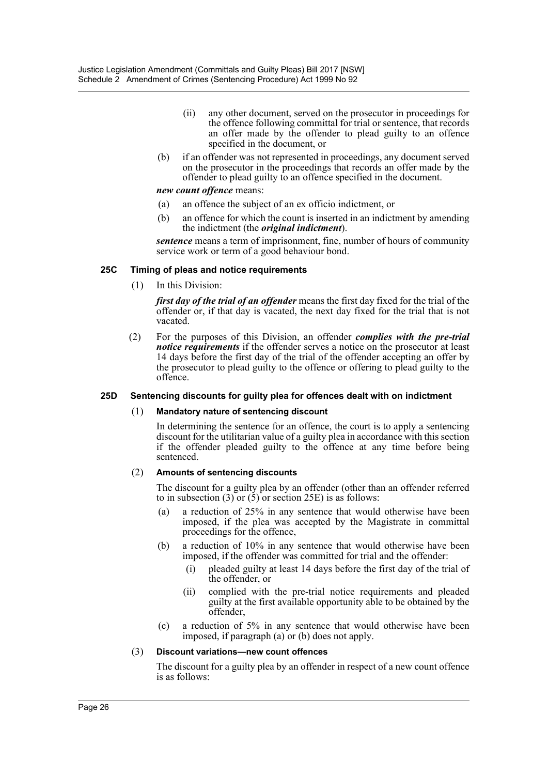- (ii) any other document, served on the prosecutor in proceedings for the offence following committal for trial or sentence, that records an offer made by the offender to plead guilty to an offence specified in the document, or
- (b) if an offender was not represented in proceedings, any document served on the prosecutor in the proceedings that records an offer made by the offender to plead guilty to an offence specified in the document.

#### *new count offence* means:

- (a) an offence the subject of an ex officio indictment, or
- (b) an offence for which the count is inserted in an indictment by amending the indictment (the *original indictment*).

*sentence* means a term of imprisonment, fine, number of hours of community service work or term of a good behaviour bond.

#### **25C Timing of pleas and notice requirements**

(1) In this Division:

*first day of the trial of an offender* means the first day fixed for the trial of the offender or, if that day is vacated, the next day fixed for the trial that is not vacated.

(2) For the purposes of this Division, an offender *complies with the pre-trial notice requirements* if the offender serves a notice on the prosecutor at least 14 days before the first day of the trial of the offender accepting an offer by the prosecutor to plead guilty to the offence or offering to plead guilty to the offence.

## **25D Sentencing discounts for guilty plea for offences dealt with on indictment**

#### (1) **Mandatory nature of sentencing discount**

In determining the sentence for an offence, the court is to apply a sentencing discount for the utilitarian value of a guilty plea in accordance with this section if the offender pleaded guilty to the offence at any time before being sentenced.

#### (2) **Amounts of sentencing discounts**

The discount for a guilty plea by an offender (other than an offender referred to in subsection (3) or  $(5)$  or section 25E) is as follows:

- (a) a reduction of 25% in any sentence that would otherwise have been imposed, if the plea was accepted by the Magistrate in committal proceedings for the offence,
- (b) a reduction of 10% in any sentence that would otherwise have been imposed, if the offender was committed for trial and the offender:
	- (i) pleaded guilty at least 14 days before the first day of the trial of the offender, or
	- (ii) complied with the pre-trial notice requirements and pleaded guilty at the first available opportunity able to be obtained by the offender,
- (c) a reduction of 5% in any sentence that would otherwise have been imposed, if paragraph (a) or (b) does not apply.

#### (3) **Discount variations—new count offences**

The discount for a guilty plea by an offender in respect of a new count offence is as follows: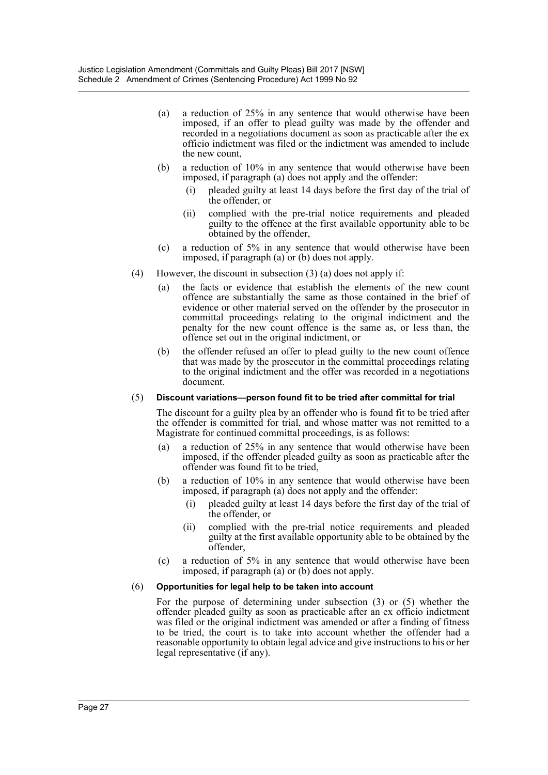- (a) a reduction of 25% in any sentence that would otherwise have been imposed, if an offer to plead guilty was made by the offender and recorded in a negotiations document as soon as practicable after the ex officio indictment was filed or the indictment was amended to include the new count,
- (b) a reduction of 10% in any sentence that would otherwise have been imposed, if paragraph (a) does not apply and the offender:
	- (i) pleaded guilty at least 14 days before the first day of the trial of the offender, or
	- (ii) complied with the pre-trial notice requirements and pleaded guilty to the offence at the first available opportunity able to be obtained by the offender,
- (c) a reduction of 5% in any sentence that would otherwise have been imposed, if paragraph (a) or (b) does not apply.
- (4) However, the discount in subsection (3) (a) does not apply if:
	- (a) the facts or evidence that establish the elements of the new count offence are substantially the same as those contained in the brief of evidence or other material served on the offender by the prosecutor in committal proceedings relating to the original indictment and the penalty for the new count offence is the same as, or less than, the offence set out in the original indictment, or
	- (b) the offender refused an offer to plead guilty to the new count offence that was made by the prosecutor in the committal proceedings relating to the original indictment and the offer was recorded in a negotiations document.

## (5) **Discount variations—person found fit to be tried after committal for trial**

The discount for a guilty plea by an offender who is found fit to be tried after the offender is committed for trial, and whose matter was not remitted to a Magistrate for continued committal proceedings, is as follows:

- (a) a reduction of 25% in any sentence that would otherwise have been imposed, if the offender pleaded guilty as soon as practicable after the offender was found fit to be tried,
- (b) a reduction of 10% in any sentence that would otherwise have been imposed, if paragraph (a) does not apply and the offender:
	- (i) pleaded guilty at least 14 days before the first day of the trial of the offender, or
	- (ii) complied with the pre-trial notice requirements and pleaded guilty at the first available opportunity able to be obtained by the offender,
- (c) a reduction of 5% in any sentence that would otherwise have been imposed, if paragraph (a) or (b) does not apply.

## (6) **Opportunities for legal help to be taken into account**

For the purpose of determining under subsection (3) or (5) whether the offender pleaded guilty as soon as practicable after an ex officio indictment was filed or the original indictment was amended or after a finding of fitness to be tried, the court is to take into account whether the offender had a reasonable opportunity to obtain legal advice and give instructions to his or her legal representative (if any).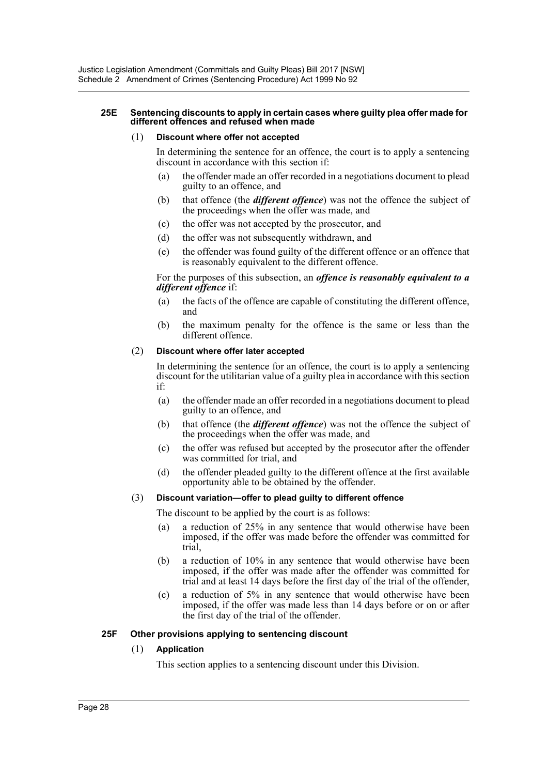#### **25E Sentencing discounts to apply in certain cases where guilty plea offer made for different offences and refused when made**

## (1) **Discount where offer not accepted**

In determining the sentence for an offence, the court is to apply a sentencing discount in accordance with this section if:

- (a) the offender made an offer recorded in a negotiations document to plead guilty to an offence, and
- (b) that offence (the *different offence*) was not the offence the subject of the proceedings when the offer was made, and
- (c) the offer was not accepted by the prosecutor, and
- (d) the offer was not subsequently withdrawn, and
- (e) the offender was found guilty of the different offence or an offence that is reasonably equivalent to the different offence.

For the purposes of this subsection, an *offence is reasonably equivalent to a different offence* if:

- (a) the facts of the offence are capable of constituting the different offence, and
- (b) the maximum penalty for the offence is the same or less than the different offence.

## (2) **Discount where offer later accepted**

In determining the sentence for an offence, the court is to apply a sentencing discount for the utilitarian value of a guilty plea in accordance with this section if:

- (a) the offender made an offer recorded in a negotiations document to plead guilty to an offence, and
- (b) that offence (the *different offence*) was not the offence the subject of the proceedings when the offer was made, and
- (c) the offer was refused but accepted by the prosecutor after the offender was committed for trial, and
- (d) the offender pleaded guilty to the different offence at the first available opportunity able to be obtained by the offender.

## (3) **Discount variation—offer to plead guilty to different offence**

The discount to be applied by the court is as follows:

- (a) a reduction of 25% in any sentence that would otherwise have been imposed, if the offer was made before the offender was committed for trial,
- (b) a reduction of 10% in any sentence that would otherwise have been imposed, if the offer was made after the offender was committed for trial and at least 14 days before the first day of the trial of the offender,
- (c) a reduction of 5% in any sentence that would otherwise have been imposed, if the offer was made less than 14 days before or on or after the first day of the trial of the offender.

## **25F Other provisions applying to sentencing discount**

## (1) **Application**

This section applies to a sentencing discount under this Division.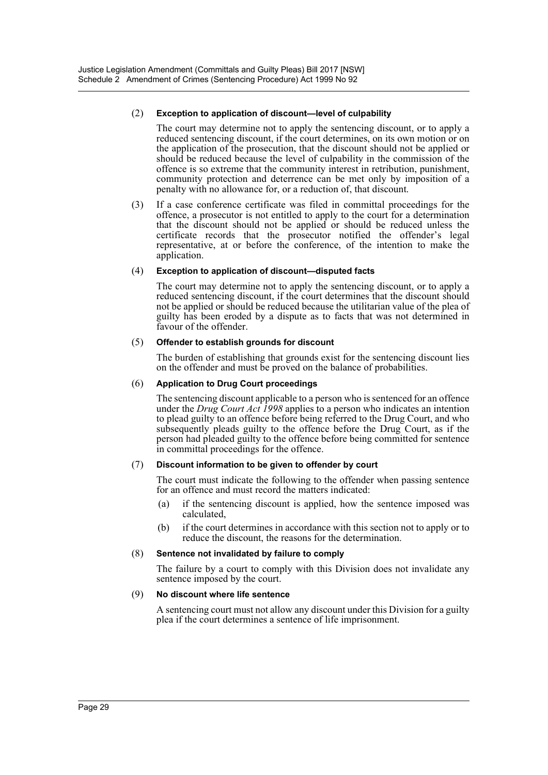## (2) **Exception to application of discount—level of culpability**

The court may determine not to apply the sentencing discount, or to apply a reduced sentencing discount, if the court determines, on its own motion or on the application of the prosecution, that the discount should not be applied or should be reduced because the level of culpability in the commission of the offence is so extreme that the community interest in retribution, punishment, community protection and deterrence can be met only by imposition of a penalty with no allowance for, or a reduction of, that discount.

(3) If a case conference certificate was filed in committal proceedings for the offence, a prosecutor is not entitled to apply to the court for a determination that the discount should not be applied or should be reduced unless the certificate records that the prosecutor notified the offender's legal representative, at or before the conference, of the intention to make the application.

## (4) **Exception to application of discount—disputed facts**

The court may determine not to apply the sentencing discount, or to apply a reduced sentencing discount, if the court determines that the discount should not be applied or should be reduced because the utilitarian value of the plea of guilty has been eroded by a dispute as to facts that was not determined in favour of the offender.

## (5) **Offender to establish grounds for discount**

The burden of establishing that grounds exist for the sentencing discount lies on the offender and must be proved on the balance of probabilities.

## (6) **Application to Drug Court proceedings**

The sentencing discount applicable to a person who is sentenced for an offence under the *Drug Court Act 1998* applies to a person who indicates an intention to plead guilty to an offence before being referred to the Drug Court, and who subsequently pleads guilty to the offence before the Drug Court, as if the person had pleaded guilty to the offence before being committed for sentence in committal proceedings for the offence.

## (7) **Discount information to be given to offender by court**

The court must indicate the following to the offender when passing sentence for an offence and must record the matters indicated:

- (a) if the sentencing discount is applied, how the sentence imposed was calculated,
- (b) if the court determines in accordance with this section not to apply or to reduce the discount, the reasons for the determination.

## (8) **Sentence not invalidated by failure to comply**

The failure by a court to comply with this Division does not invalidate any sentence imposed by the court.

## (9) **No discount where life sentence**

A sentencing court must not allow any discount under this Division for a guilty plea if the court determines a sentence of life imprisonment.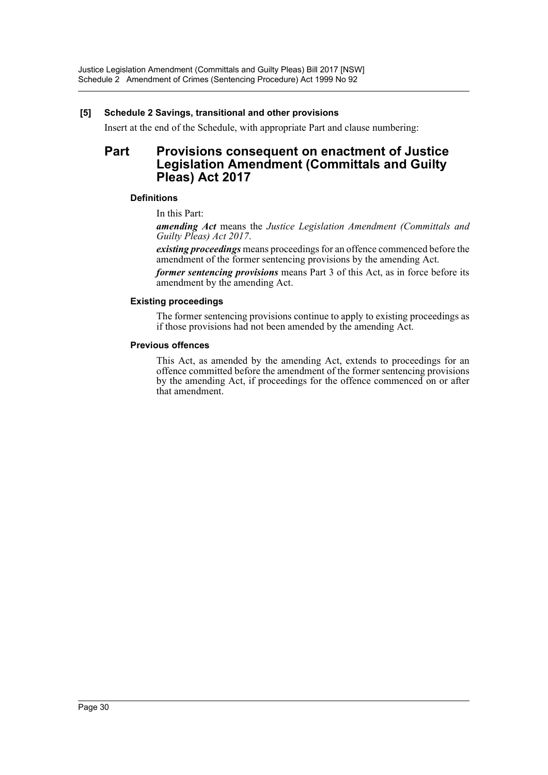## **[5] Schedule 2 Savings, transitional and other provisions**

Insert at the end of the Schedule, with appropriate Part and clause numbering:

# **Part Provisions consequent on enactment of Justice Legislation Amendment (Committals and Guilty Pleas) Act 2017**

## **Definitions**

In this Part:

*amending Act* means the *Justice Legislation Amendment (Committals and Guilty Pleas) Act 2017*.

*existing proceedings* means proceedings for an offence commenced before the amendment of the former sentencing provisions by the amending Act.

*former sentencing provisions* means Part 3 of this Act, as in force before its amendment by the amending Act.

## **Existing proceedings**

The former sentencing provisions continue to apply to existing proceedings as if those provisions had not been amended by the amending Act.

#### **Previous offences**

This Act, as amended by the amending Act, extends to proceedings for an offence committed before the amendment of the former sentencing provisions by the amending Act, if proceedings for the offence commenced on or after that amendment.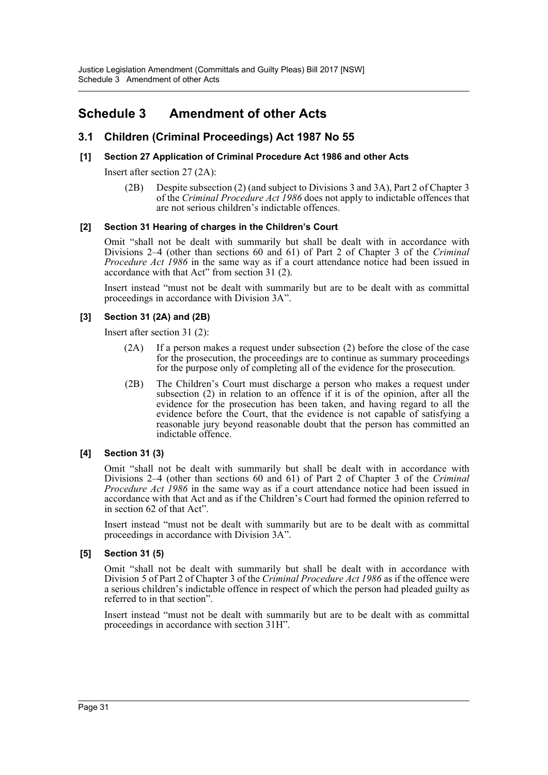# <span id="page-31-0"></span>**Schedule 3 Amendment of other Acts**

# **3.1 Children (Criminal Proceedings) Act 1987 No 55**

## **[1] Section 27 Application of Criminal Procedure Act 1986 and other Acts**

Insert after section 27 (2A):

(2B) Despite subsection (2) (and subject to Divisions 3 and 3A), Part 2 of Chapter 3 of the *Criminal Procedure Act 1986* does not apply to indictable offences that are not serious children's indictable offences.

## **[2] Section 31 Hearing of charges in the Children's Court**

Omit "shall not be dealt with summarily but shall be dealt with in accordance with Divisions 2–4 (other than sections 60 and 61) of Part 2 of Chapter 3 of the *Criminal Procedure Act 1986* in the same way as if a court attendance notice had been issued in accordance with that Act" from section 31 (2).

Insert instead "must not be dealt with summarily but are to be dealt with as committal proceedings in accordance with Division 3A".

## **[3] Section 31 (2A) and (2B)**

Insert after section 31 (2):

- (2A) If a person makes a request under subsection (2) before the close of the case for the prosecution, the proceedings are to continue as summary proceedings for the purpose only of completing all of the evidence for the prosecution.
- (2B) The Children's Court must discharge a person who makes a request under subsection (2) in relation to an offence if it is of the opinion, after all the evidence for the prosecution has been taken, and having regard to all the evidence before the Court, that the evidence is not capable of satisfying a reasonable jury beyond reasonable doubt that the person has committed an indictable offence.

## **[4] Section 31 (3)**

Omit "shall not be dealt with summarily but shall be dealt with in accordance with Divisions 2–4 (other than sections 60 and 61) of Part 2 of Chapter 3 of the *Criminal Procedure Act 1986* in the same way as if a court attendance notice had been issued in accordance with that Act and as if the Children's Court had formed the opinion referred to in section 62 of that Act".

Insert instead "must not be dealt with summarily but are to be dealt with as committal proceedings in accordance with Division 3A".

## **[5] Section 31 (5)**

Omit "shall not be dealt with summarily but shall be dealt with in accordance with Division 5 of Part 2 of Chapter 3 of the *Criminal Procedure Act 1986* as if the offence were a serious children's indictable offence in respect of which the person had pleaded guilty as referred to in that section".

Insert instead "must not be dealt with summarily but are to be dealt with as committal proceedings in accordance with section 31H".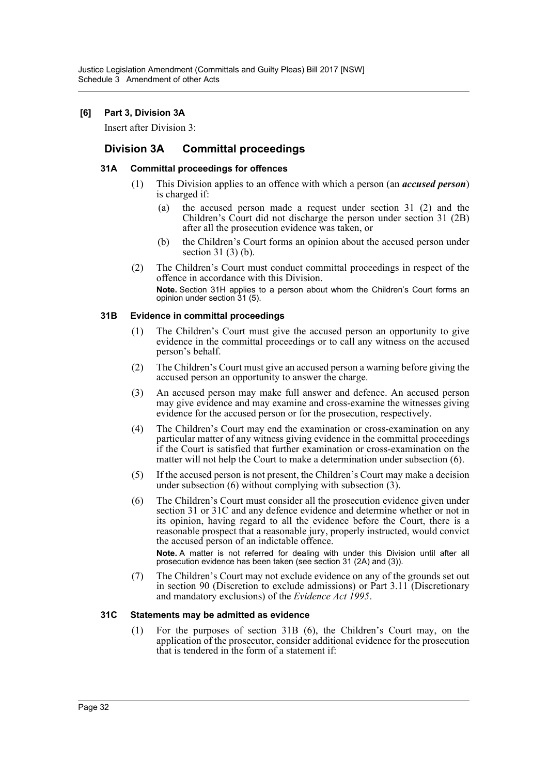## **[6] Part 3, Division 3A**

Insert after Division 3:

# **Division 3A Committal proceedings**

## **31A Committal proceedings for offences**

- (1) This Division applies to an offence with which a person (an *accused person*) is charged if:
	- (a) the accused person made a request under section 31 (2) and the Children's Court did not discharge the person under section 31 (2B) after all the prosecution evidence was taken, or
	- (b) the Children's Court forms an opinion about the accused person under section 31 (3) (b).
- (2) The Children's Court must conduct committal proceedings in respect of the offence in accordance with this Division. **Note.** Section 31H applies to a person about whom the Children's Court forms an opinion under section 31 (5).

## **31B Evidence in committal proceedings**

- (1) The Children's Court must give the accused person an opportunity to give evidence in the committal proceedings or to call any witness on the accused person's behalf.
- (2) The Children's Court must give an accused person a warning before giving the accused person an opportunity to answer the charge.
- (3) An accused person may make full answer and defence. An accused person may give evidence and may examine and cross-examine the witnesses giving evidence for the accused person or for the prosecution, respectively.
- (4) The Children's Court may end the examination or cross-examination on any particular matter of any witness giving evidence in the committal proceedings if the Court is satisfied that further examination or cross-examination on the matter will not help the Court to make a determination under subsection (6).
- (5) If the accused person is not present, the Children's Court may make a decision under subsection (6) without complying with subsection (3).
- (6) The Children's Court must consider all the prosecution evidence given under section 31 or 31C and any defence evidence and determine whether or not in its opinion, having regard to all the evidence before the Court, there is a reasonable prospect that a reasonable jury, properly instructed, would convict the accused person of an indictable offence. **Note.** A matter is not referred for dealing with under this Division until after all prosecution evidence has been taken (see section 31 (2A) and (3)).
- (7) The Children's Court may not exclude evidence on any of the grounds set out in section 90 (Discretion to exclude admissions) or Part 3.11 (Discretionary and mandatory exclusions) of the *Evidence Act 1995*.

## **31C Statements may be admitted as evidence**

(1) For the purposes of section 31B (6), the Children's Court may, on the application of the prosecutor, consider additional evidence for the prosecution that is tendered in the form of a statement if: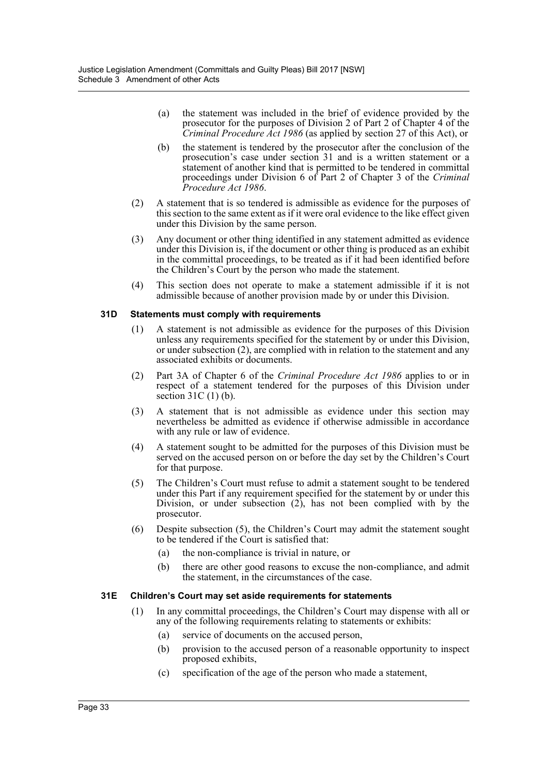- (a) the statement was included in the brief of evidence provided by the prosecutor for the purposes of Division 2 of Part 2 of Chapter 4 of the *Criminal Procedure Act 1986* (as applied by section 27 of this Act), or
- (b) the statement is tendered by the prosecutor after the conclusion of the prosecution's case under section 31 and is a written statement or a statement of another kind that is permitted to be tendered in committal proceedings under Division 6 of Part 2 of Chapter 3 of the *Criminal Procedure Act 1986*.
- (2) A statement that is so tendered is admissible as evidence for the purposes of this section to the same extent as if it were oral evidence to the like effect given under this Division by the same person.
- (3) Any document or other thing identified in any statement admitted as evidence under this Division is, if the document or other thing is produced as an exhibit in the committal proceedings, to be treated as if it had been identified before the Children's Court by the person who made the statement.
- (4) This section does not operate to make a statement admissible if it is not admissible because of another provision made by or under this Division.

#### **31D Statements must comply with requirements**

- (1) A statement is not admissible as evidence for the purposes of this Division unless any requirements specified for the statement by or under this Division, or under subsection (2), are complied with in relation to the statement and any associated exhibits or documents.
- (2) Part 3A of Chapter 6 of the *Criminal Procedure Act 1986* applies to or in respect of a statement tendered for the purposes of this Division under section  $31C(1)$  (b).
- (3) A statement that is not admissible as evidence under this section may nevertheless be admitted as evidence if otherwise admissible in accordance with any rule or law of evidence.
- (4) A statement sought to be admitted for the purposes of this Division must be served on the accused person on or before the day set by the Children's Court for that purpose.
- (5) The Children's Court must refuse to admit a statement sought to be tendered under this Part if any requirement specified for the statement by or under this Division, or under subsection  $(2)$ , has not been complied with by the prosecutor.
- (6) Despite subsection (5), the Children's Court may admit the statement sought to be tendered if the Court is satisfied that:
	- (a) the non-compliance is trivial in nature, or
	- (b) there are other good reasons to excuse the non-compliance, and admit the statement, in the circumstances of the case.

## **31E Children's Court may set aside requirements for statements**

- (1) In any committal proceedings, the Children's Court may dispense with all or any of the following requirements relating to statements or exhibits:
	- (a) service of documents on the accused person,
	- (b) provision to the accused person of a reasonable opportunity to inspect proposed exhibits,
	- (c) specification of the age of the person who made a statement,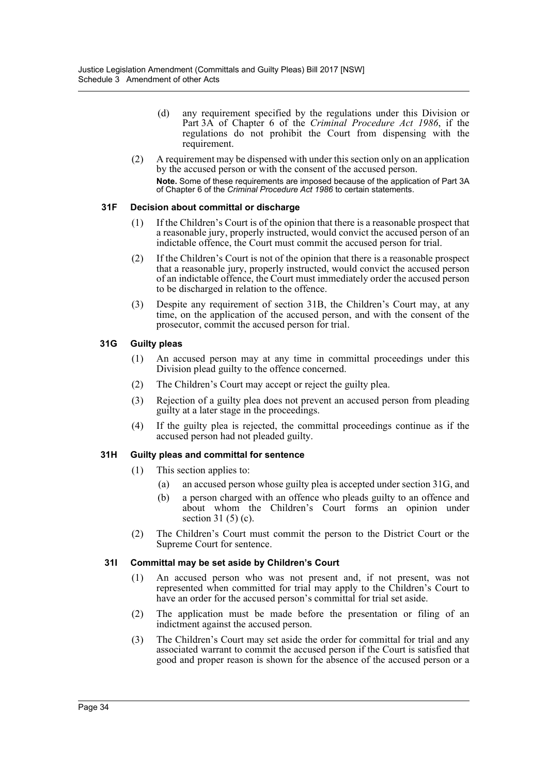- (d) any requirement specified by the regulations under this Division or Part 3A of Chapter 6 of the *Criminal Procedure Act 1986*, if the regulations do not prohibit the Court from dispensing with the requirement.
- (2) A requirement may be dispensed with under this section only on an application by the accused person or with the consent of the accused person. **Note.** Some of these requirements are imposed because of the application of Part 3A of Chapter 6 of the *Criminal Procedure Act 1986* to certain statements.

## **31F Decision about committal or discharge**

- (1) If the Children's Court is of the opinion that there is a reasonable prospect that a reasonable jury, properly instructed, would convict the accused person of an indictable offence, the Court must commit the accused person for trial.
- (2) If the Children's Court is not of the opinion that there is a reasonable prospect that a reasonable jury, properly instructed, would convict the accused person of an indictable offence, the Court must immediately order the accused person to be discharged in relation to the offence.
- (3) Despite any requirement of section 31B, the Children's Court may, at any time, on the application of the accused person, and with the consent of the prosecutor, commit the accused person for trial.

## **31G Guilty pleas**

- (1) An accused person may at any time in committal proceedings under this Division plead guilty to the offence concerned.
- (2) The Children's Court may accept or reject the guilty plea.
- (3) Rejection of a guilty plea does not prevent an accused person from pleading guilty at a later stage in the proceedings.
- (4) If the guilty plea is rejected, the committal proceedings continue as if the accused person had not pleaded guilty.

## **31H Guilty pleas and committal for sentence**

- (1) This section applies to:
	- (a) an accused person whose guilty plea is accepted under section 31G, and
	- (b) a person charged with an offence who pleads guilty to an offence and about whom the Children's Court forms an opinion under section 31 (5) (c).
- (2) The Children's Court must commit the person to the District Court or the Supreme Court for sentence.

## **31I Committal may be set aside by Children's Court**

- (1) An accused person who was not present and, if not present, was not represented when committed for trial may apply to the Children's Court to have an order for the accused person's committal for trial set aside.
- (2) The application must be made before the presentation or filing of an indictment against the accused person.
- (3) The Children's Court may set aside the order for committal for trial and any associated warrant to commit the accused person if the Court is satisfied that good and proper reason is shown for the absence of the accused person or a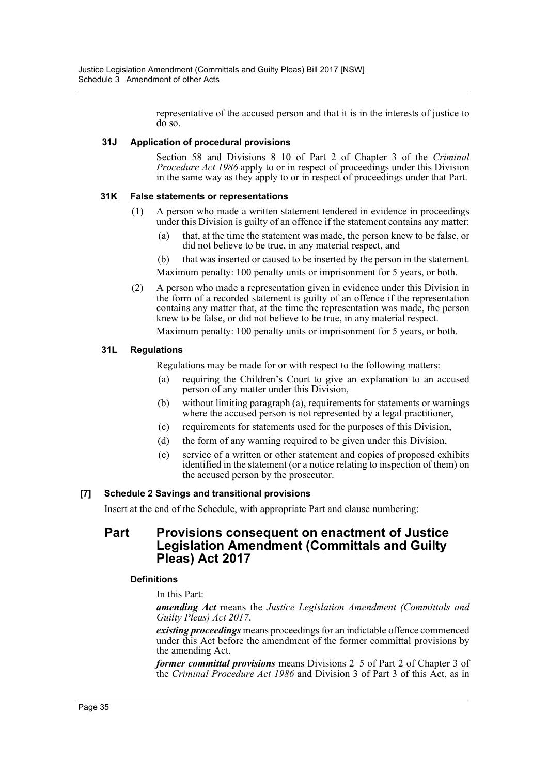representative of the accused person and that it is in the interests of justice to do so.

## **31J Application of procedural provisions**

Section 58 and Divisions 8–10 of Part 2 of Chapter 3 of the *Criminal Procedure Act 1986* apply to or in respect of proceedings under this Division in the same way as they apply to or in respect of proceedings under that Part.

## **31K False statements or representations**

- (1) A person who made a written statement tendered in evidence in proceedings under this Division is guilty of an offence if the statement contains any matter:
	- (a) that, at the time the statement was made, the person knew to be false, or did not believe to be true, in any material respect, and
	- (b) that was inserted or caused to be inserted by the person in the statement.
	- Maximum penalty: 100 penalty units or imprisonment for 5 years, or both.
- (2) A person who made a representation given in evidence under this Division in the form of a recorded statement is guilty of an offence if the representation contains any matter that, at the time the representation was made, the person knew to be false, or did not believe to be true, in any material respect.

Maximum penalty: 100 penalty units or imprisonment for 5 years, or both.

## **31L Regulations**

Regulations may be made for or with respect to the following matters:

- (a) requiring the Children's Court to give an explanation to an accused person of any matter under this Division,
- (b) without limiting paragraph (a), requirements for statements or warnings where the accused person is not represented by a legal practitioner,
- (c) requirements for statements used for the purposes of this Division,
- (d) the form of any warning required to be given under this Division,
- (e) service of a written or other statement and copies of proposed exhibits identified in the statement (or a notice relating to inspection of them) on the accused person by the prosecutor.

## **[7] Schedule 2 Savings and transitional provisions**

Insert at the end of the Schedule, with appropriate Part and clause numbering:

# **Part Provisions consequent on enactment of Justice Legislation Amendment (Committals and Guilty Pleas) Act 2017**

## **Definitions**

In this Part:

*amending Act* means the *Justice Legislation Amendment (Committals and Guilty Pleas) Act 2017*.

*existing proceedings* means proceedings for an indictable offence commenced under this Act before the amendment of the former committal provisions by the amending Act.

*former committal provisions* means Divisions 2–5 of Part 2 of Chapter 3 of the *Criminal Procedure Act 1986* and Division 3 of Part 3 of this Act, as in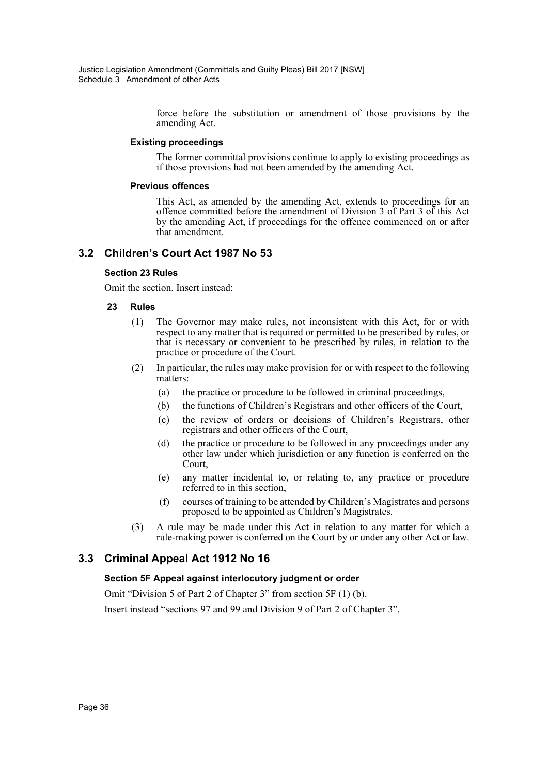force before the substitution or amendment of those provisions by the amending Act.

## **Existing proceedings**

The former committal provisions continue to apply to existing proceedings as if those provisions had not been amended by the amending Act.

#### **Previous offences**

This Act, as amended by the amending Act, extends to proceedings for an offence committed before the amendment of Division 3 of Part 3 of this Act by the amending Act, if proceedings for the offence commenced on or after that amendment.

## **3.2 Children's Court Act 1987 No 53**

## **Section 23 Rules**

Omit the section. Insert instead:

## **23 Rules**

- (1) The Governor may make rules, not inconsistent with this Act, for or with respect to any matter that is required or permitted to be prescribed by rules, or that is necessary or convenient to be prescribed by rules, in relation to the practice or procedure of the Court.
- (2) In particular, the rules may make provision for or with respect to the following matters:
	- (a) the practice or procedure to be followed in criminal proceedings,
	- (b) the functions of Children's Registrars and other officers of the Court,
	- (c) the review of orders or decisions of Children's Registrars, other registrars and other officers of the Court,
	- (d) the practice or procedure to be followed in any proceedings under any other law under which jurisdiction or any function is conferred on the Court,
	- (e) any matter incidental to, or relating to, any practice or procedure referred to in this section,
	- (f) courses of training to be attended by Children's Magistrates and persons proposed to be appointed as Children's Magistrates.
- (3) A rule may be made under this Act in relation to any matter for which a rule-making power is conferred on the Court by or under any other Act or law.

# **3.3 Criminal Appeal Act 1912 No 16**

## **Section 5F Appeal against interlocutory judgment or order**

Omit "Division 5 of Part 2 of Chapter 3" from section 5F (1) (b).

Insert instead "sections 97 and 99 and Division 9 of Part 2 of Chapter 3".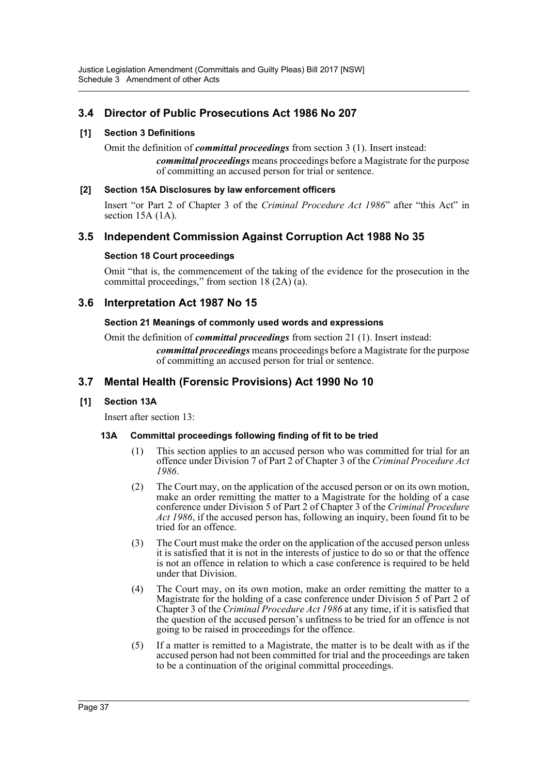# **3.4 Director of Public Prosecutions Act 1986 No 207**

## **[1] Section 3 Definitions**

Omit the definition of *committal proceedings* from section 3 (1). Insert instead: *committal proceedings* means proceedings before a Magistrate for the purpose of committing an accused person for trial or sentence.

## **[2] Section 15A Disclosures by law enforcement officers**

Insert "or Part 2 of Chapter 3 of the *Criminal Procedure Act 1986*" after "this Act" in section 15A (1A).

# **3.5 Independent Commission Against Corruption Act 1988 No 35**

## **Section 18 Court proceedings**

Omit "that is, the commencement of the taking of the evidence for the prosecution in the committal proceedings," from section  $18(2A)(a)$ .

# **3.6 Interpretation Act 1987 No 15**

## **Section 21 Meanings of commonly used words and expressions**

Omit the definition of *committal proceedings* from section 21 (1). Insert instead: *committal proceedings* means proceedings before a Magistrate for the purpose of committing an accused person for trial or sentence.

# **3.7 Mental Health (Forensic Provisions) Act 1990 No 10**

## **[1] Section 13A**

Insert after section 13:

## **13A Committal proceedings following finding of fit to be tried**

- (1) This section applies to an accused person who was committed for trial for an offence under Division 7 of Part 2 of Chapter 3 of the *Criminal Procedure Act 1986*.
- (2) The Court may, on the application of the accused person or on its own motion, make an order remitting the matter to a Magistrate for the holding of a case conference under Division 5 of Part 2 of Chapter 3 of the *Criminal Procedure Act 1986*, if the accused person has, following an inquiry, been found fit to be tried for an offence.
- (3) The Court must make the order on the application of the accused person unless it is satisfied that it is not in the interests of justice to do so or that the offence is not an offence in relation to which a case conference is required to be held under that Division.
- (4) The Court may, on its own motion, make an order remitting the matter to a Magistrate for the holding of a case conference under Division 5 of Part 2 of Chapter 3 of the *Criminal Procedure Act 1986* at any time, if it is satisfied that the question of the accused person's unfitness to be tried for an offence is not going to be raised in proceedings for the offence.
- (5) If a matter is remitted to a Magistrate, the matter is to be dealt with as if the accused person had not been committed for trial and the proceedings are taken to be a continuation of the original committal proceedings.